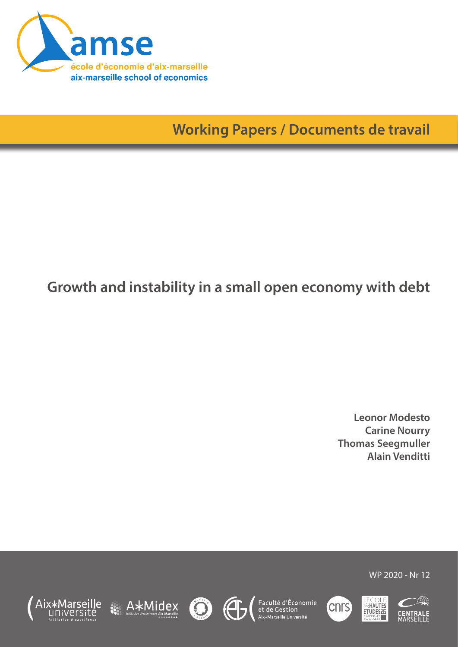

**Working Papers / Documents de travail**

# **Growth and instability in a small open economy with debt**

**Leonor Modesto Carine Nourry Thomas Seegmuller Alain Venditti**









Faculté d'Économie<br>et de Gestion<br><sup>Aix\*Marseille Université</sup>





WP 2020 - Nr 12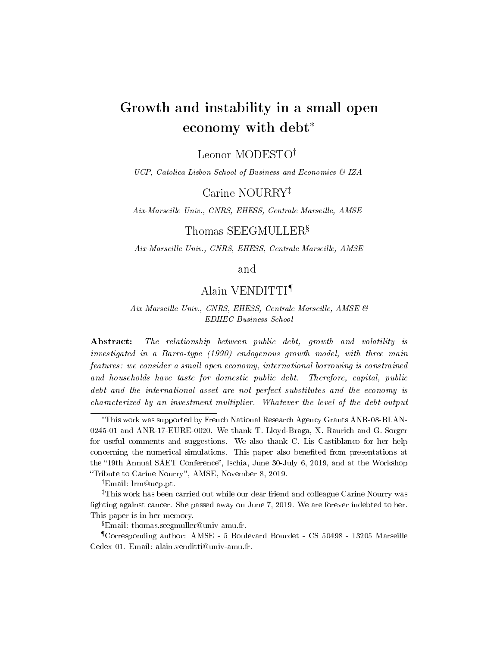# Growth and instability in a small open economy with debt<sup>∗</sup>

Leonor MODESTO†

UCP, Catolica Lisbon School of Business and Economics & IZA

Carine NOURRY‡

Aix-Marseille Univ., CNRS, EHESS, Centrale Marseille, AMSE

### Thomas SEEGMULLER $^{\S}$

Aix-Marseille Univ., CNRS, EHESS, Centrale Marseille, AMSE

#### and

### Alain VENDITTI¶

#### Aix-Marseille Univ., CNRS, EHESS, Centrale Marseille, AMSE & EDHEC Business School

Abstract: The relationship between public debt, growth and volatility is investigated in a Barro-type (1990) endogenous growth model, with three main features: we consider a small open economy, international borrowing is constrained and households have taste for domestic public debt. Therefore, capital, public debt and the international asset are not perfect substitutes and the economy is characterized by an investment multiplier. Whatever the level of the debt-output

<sup>∗</sup>This work was supported by French National Research Agency Grants ANR-08-BLAN-0245-01 and ANR-17-EURE-0020. We thank T. Lloyd-Braga, X. Raurich and G. Sorger for useful comments and suggestions. We also thank C. Lis Castiblanco for her help concerning the numerical simulations. This paper also benefited from presentations at the "19th Annual SAET Conference", Ischia, June 30-July 6, 2019, and at the Workshop Tribute to Carine Nourry", AMSE, November 8, 2019.

<sup>†</sup>Email: lrm@ucp.pt.

<sup>‡</sup>This work has been carried out while our dear friend and colleague Carine Nourry was fighting against cancer. She passed away on June 7, 2019. We are forever indebted to her. This paper is in her memory.

Email: thomas.seegmuller@univ-amu.fr.

<sup>¶</sup>Corresponding author: AMSE - 5 Boulevard Bourdet - CS 50498 - 13205 Marseille Cedex 01. Email: alain.venditti@univ-amu.fr.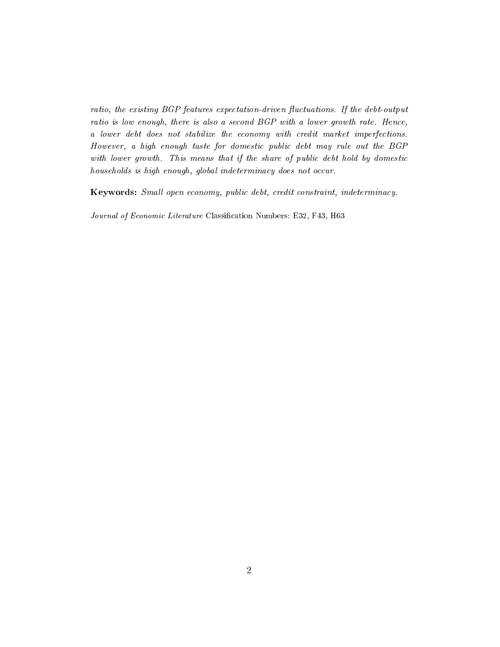ratio, the existing  $BGP$  features expectation-driven fluctuations. If the debt-output ratio is low enough, there is also a second BGP with a lower growth rate. Hence, a lower debt does not stabilize the economy with credit market imperfections. However, a high enough taste for domestic public debt may rule out the BGP with lower growth. This means that if the share of public debt hold by domestic households is high enough, global indeterminacy does not occur.

Keywords: Small open economy, public debt, credit constraint, indeterminacy.

Journal of Economic Literature Classification Numbers: E32, F43, H63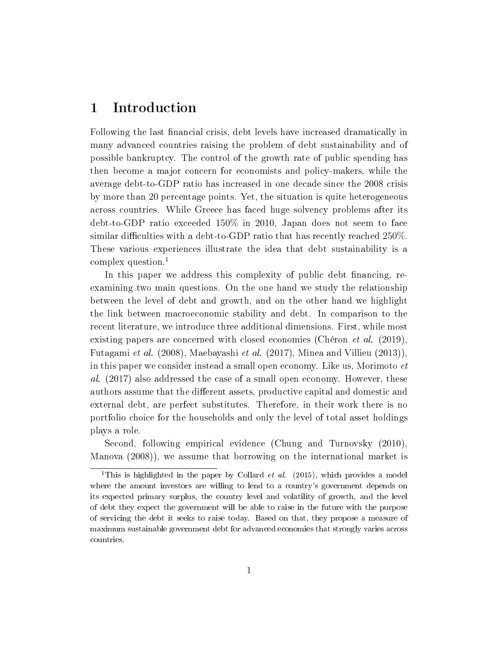# 1 Introduction

Following the last financial crisis, debt levels have increased dramatically in many advanced countries raising the problem of debt sustainability and of possible bankruptcy. The control of the growth rate of public spending has then become a major concern for economists and policy-makers, while the average debt-to-GDP ratio has increased in one decade since the 2008 crisis by more than 20 percentage points. Yet, the situation is quite heterogeneous across countries. While Greece has faced huge solvency problems after its debt-to-GDP ratio exceeded 150% in 2010, Japan does not seem to face similar difficulties with a debt-to-GDP ratio that has recently reached  $250\%$ . These various experiences illustrate the idea that debt sustainability is a complex question.<sup>1</sup>

In this paper we address this complexity of public debt financing, reexamining two main questions. On the one hand we study the relationship between the level of debt and growth, and on the other hand we highlight the link between macroeconomic stability and debt. In comparison to the recent literature, we introduce three additional dimensions. First, while most existing papers are concerned with closed economies (Chéron *et al.* (2019), Futagami et al. (2008), Maebayashi et al. (2017), Minea and Villieu (2013)), in this paper we consider instead a small open economy. Like us, Morimoto et al. (2017) also addressed the case of a small open economy. However, these authors assume that the different assets, productive capital and domestic and external debt, are perfect substitutes. Therefore, in their work there is no portfolio choice for the households and only the level of total asset holdings plays a role.

Second, following empirical evidence (Chung and Turnovsky (2010), Manova (2008)), we assume that borrowing on the international market is

<sup>&</sup>lt;sup>1</sup>This is highlighted in the paper by Collard *et al.* (2015), which provides a model where the amount investors are willing to lend to a country's government depends on its expected primary surplus, the country level and volatility of growth, and the level of debt they expect the government will be able to raise in the future with the purpose of servicing the debt it seeks to raise today. Based on that, they propose a measure of maximum sustainable government debt for advanced economies that strongly varies across countries.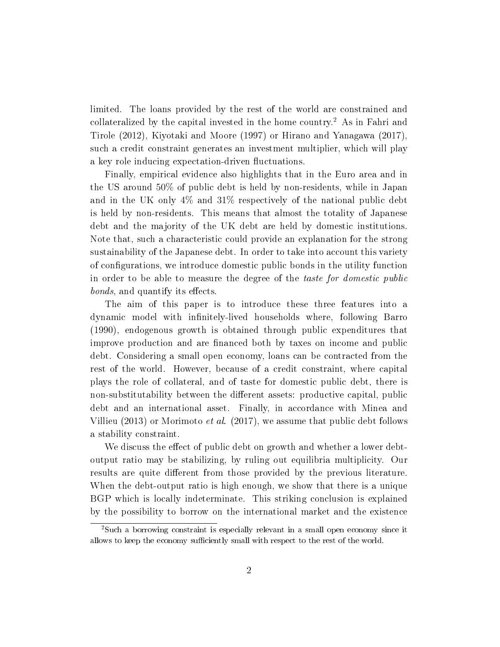limited. The loans provided by the rest of the world are constrained and collateralized by the capital invested in the home country.<sup>2</sup> As in Fahri and Tirole (2012), Kiyotaki and Moore (1997) or Hirano and Yanagawa (2017), such a credit constraint generates an investment multiplier, which will play a key role inducing expectation-driven fluctuations.

Finally, empirical evidence also highlights that in the Euro area and in the US around 50% of public debt is held by non-residents, while in Japan and in the UK only 4% and 31% respectively of the national public debt is held by non-residents. This means that almost the totality of Japanese debt and the majority of the UK debt are held by domestic institutions. Note that, such a characteristic could provide an explanation for the strong sustainability of the Japanese debt. In order to take into account this variety of configurations, we introduce domestic public bonds in the utility function in order to be able to measure the degree of the taste for domestic public bonds, and quantify its effects.

The aim of this paper is to introduce these three features into a dynamic model with infinitely-lived households where, following Barro (1990), endogenous growth is obtained through public expenditures that improve production and are financed both by taxes on income and public debt. Considering a small open economy, loans can be contracted from the rest of the world. However, because of a credit constraint, where capital plays the role of collateral, and of taste for domestic public debt, there is non-substitutability between the different assets: productive capital, public debt and an international asset. Finally, in accordance with Minea and Villieu (2013) or Morimoto *et al.* (2017), we assume that public debt follows a stability constraint.

We discuss the effect of public debt on growth and whether a lower debtoutput ratio may be stabilizing, by ruling out equilibria multiplicity. Our results are quite different from those provided by the previous literature. When the debt-output ratio is high enough, we show that there is a unique BGP which is locally indeterminate. This striking conclusion is explained by the possibility to borrow on the international market and the existence

<sup>2</sup>Such a borrowing constraint is especially relevant in a small open economy since it allows to keep the economy sufficiently small with respect to the rest of the world.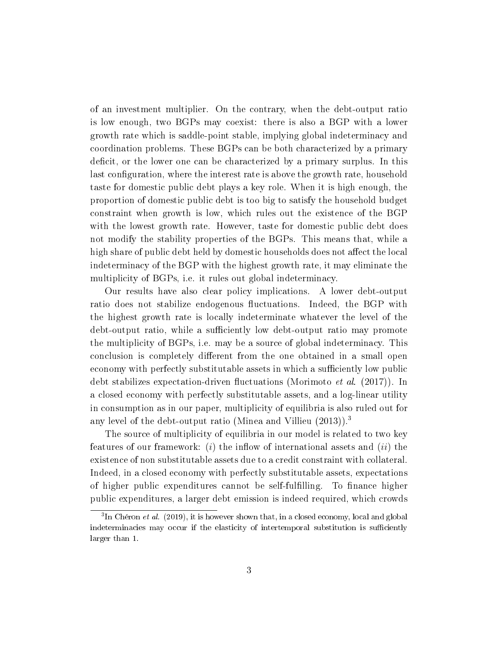of an investment multiplier. On the contrary, when the debt-output ratio is low enough, two BGPs may coexist: there is also a BGP with a lower growth rate which is saddle-point stable, implying global indeterminacy and coordination problems. These BGPs can be both characterized by a primary deficit, or the lower one can be characterized by a primary surplus. In this last configuration, where the interest rate is above the growth rate, household taste for domestic public debt plays a key role. When it is high enough, the proportion of domestic public debt is too big to satisfy the household budget constraint when growth is low, which rules out the existence of the BGP with the lowest growth rate. However, taste for domestic public debt does not modify the stability properties of the BGPs. This means that, while a high share of public debt held by domestic households does not affect the local indeterminacy of the BGP with the highest growth rate, it may eliminate the multiplicity of BGPs, i.e. it rules out global indeterminacy.

Our results have also clear policy implications. A lower debt-output ratio does not stabilize endogenous fluctuations. Indeed, the BGP with the highest growth rate is locally indeterminate whatever the level of the debt-output ratio, while a sufficiently low debt-output ratio may promote the multiplicity of BGPs, i.e. may be a source of global indeterminacy. This conclusion is completely different from the one obtained in a small open economy with perfectly substitutable assets in which a sufficiently low public debt stabilizes expectation-driven fluctuations (Morimoto *et al.* (2017)). In a closed economy with perfectly substitutable assets, and a log-linear utility in consumption as in our paper, multiplicity of equilibria is also ruled out for any level of the debt-output ratio (Minea and Villieu (2013)).<sup>3</sup>

The source of multiplicity of equilibria in our model is related to two key features of our framework: (i) the inflow of international assets and (ii) the existence of non substitutable assets due to a credit constraint with collateral. Indeed, in a closed economy with perfectly substitutable assets, expectations of higher public expenditures cannot be self-fulfilling. To finance higher public expenditures, a larger debt emission is indeed required, which crowds

 ${}^{3}\text{In}$  Chéron et al. (2019), it is however shown that, in a closed economy, local and global indeterminacies may occur if the elasticity of intertemporal substitution is sufficiently larger than 1.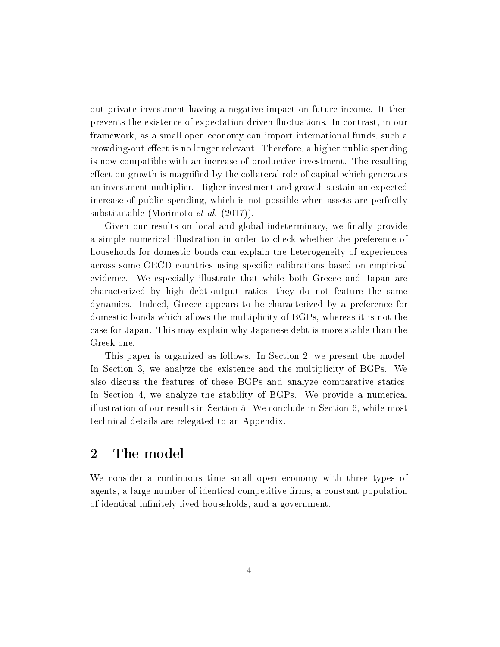out private investment having a negative impact on future income. It then prevents the existence of expectation-driven fluctuations. In contrast, in our framework, as a small open economy can import international funds, such a crowding-out effect is no longer relevant. Therefore, a higher public spending is now compatible with an increase of productive investment. The resulting effect on growth is magnified by the collateral role of capital which generates an investment multiplier. Higher investment and growth sustain an expected increase of public spending, which is not possible when assets are perfectly substitutable (Morimoto et al. (2017)).

Given our results on local and global indeterminacy, we finally provide a simple numerical illustration in order to check whether the preference of households for domestic bonds can explain the heterogeneity of experiences across some OECD countries using specific calibrations based on empirical evidence. We especially illustrate that while both Greece and Japan are characterized by high debt-output ratios, they do not feature the same dynamics. Indeed, Greece appears to be characterized by a preference for domestic bonds which allows the multiplicity of BGPs, whereas it is not the case for Japan. This may explain why Japanese debt is more stable than the Greek one.

This paper is organized as follows. In Section 2, we present the model. In Section 3, we analyze the existence and the multiplicity of BGPs. We also discuss the features of these BGPs and analyze comparative statics. In Section 4, we analyze the stability of BGPs. We provide a numerical illustration of our results in Section 5. We conclude in Section 6, while most technical details are relegated to an Appendix.

### 2 The model

We consider a continuous time small open economy with three types of agents, a large number of identical competitive firms, a constant population of identical infinitely lived households, and a government.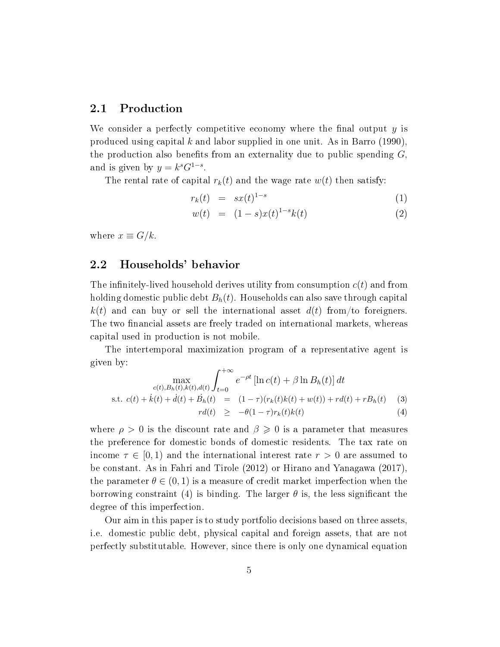### 2.1 Production

We consider a perfectly competitive economy where the final output  $y$  is produced using capital k and labor supplied in one unit. As in Barro  $(1990)$ , the production also benefits from an externality due to public spending  $G$ , and is given by  $y = k^s G^{1-s}$ .

The rental rate of capital  $r_k(t)$  and the wage rate  $w(t)$  then satisfy:

$$
r_k(t) = sx(t)^{1-s} \tag{1}
$$

$$
w(t) = (1 - s)x(t)^{1 - s}k(t)
$$
\n(2)

where  $x \equiv G/k$ .

#### 2.2 Households' behavior

The infinitely-lived household derives utility from consumption  $c(t)$  and from holding domestic public debt  $B_h(t)$ . Households can also save through capital  $k(t)$  and can buy or sell the international asset  $d(t)$  from/to foreigners. The two financial assets are freely traded on international markets, whereas capital used in production is not mobile.

The intertemporal maximization program of a representative agent is given by:

$$
\max_{\substack{c(t), B_h(t), k(t), d(t) \\ \text{s.t. } c(t) + \dot{k}(t) + \dot{d}(t) + \dot{B}_h(t)}} \int_{t=0}^{+\infty} e^{-\rho t} \left[ \ln c(t) + \beta \ln B_h(t) \right] dt
$$
  
\n
$$
\text{s.t. } c(t) + \dot{k}(t) + \dot{d}(t) + \dot{B}_h(t) = (1 - \tau)(r_k(t)k(t) + w(t)) + rd(t) + rB_h(t) \tag{3}
$$
  
\n
$$
rd(t) \ge -\theta(1 - \tau)r_k(t)k(t) \tag{4}
$$

where  $\rho > 0$  is the discount rate and  $\beta \geqslant 0$  is a parameter that measures the preference for domestic bonds of domestic residents. The tax rate on income  $\tau \in [0, 1)$  and the international interest rate  $r > 0$  are assumed to be constant. As in Fahri and Tirole (2012) or Hirano and Yanagawa (2017), the parameter  $\theta \in (0, 1)$  is a measure of credit market imperfection when the borrowing constraint (4) is binding. The larger  $\theta$  is, the less significant the degree of this imperfection.

Our aim in this paper is to study portfolio decisions based on three assets, i.e. domestic public debt, physical capital and foreign assets, that are not perfectly substitutable. However, since there is only one dynamical equation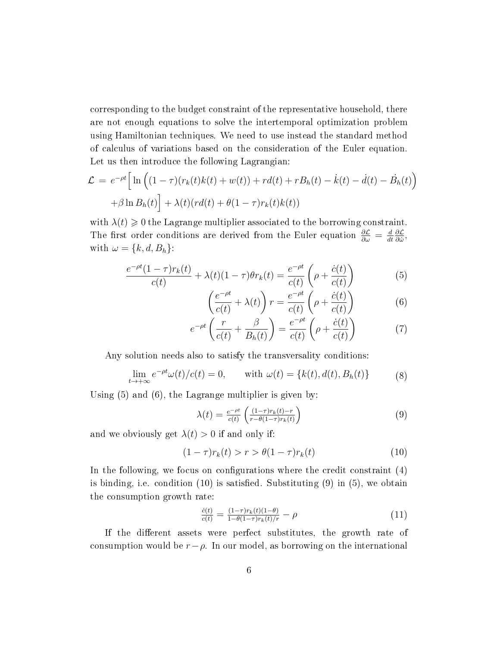corresponding to the budget constraint of the representative household, there are not enough equations to solve the intertemporal optimization problem using Hamiltonian techniques. We need to use instead the standard method of calculus of variations based on the consideration of the Euler equation. Let us then introduce the following Lagrangian:

$$
\mathcal{L} = e^{-\rho t} \Big[ \ln \Big( (1 - \tau)(r_k(t)k(t) + w(t)) + r d(t) + r B_h(t) - \dot{k}(t) - \dot{d}(t) - \dot{B}_h(t) \Big) + \beta \ln B_h(t) \Big] + \lambda(t)(r d(t) + \theta (1 - \tau)r_k(t)k(t))
$$

with  $\lambda(t) \geq 0$  the Lagrange multiplier associated to the borrowing constraint. The first order conditions are derived from the Euler equation  $\frac{\partial \mathcal{L}}{\partial \omega} = \frac{d}{dt}$ dt ∂L  $\frac{\partial \mathcal{L}}{\partial \dot{\omega}},$ with  $\omega = \{k, d, B_h\}$ :

$$
\frac{e^{-\rho t}(1-\tau)r_k(t)}{c(t)} + \lambda(t)(1-\tau)\theta r_k(t) = \frac{e^{-\rho t}}{c(t)}\left(\rho + \frac{\dot{c}(t)}{c(t)}\right)
$$
(5)

$$
\left(\frac{e^{-\rho t}}{c(t)} + \lambda(t)\right) r = \frac{e^{-\rho t}}{c(t)} \left(\rho + \frac{\dot{c}(t)}{c(t)}\right) \tag{6}
$$

$$
e^{-\rho t}\left(\frac{r}{c(t)} + \frac{\beta}{B_h(t)}\right) = \frac{e^{-\rho t}}{c(t)}\left(\rho + \frac{\dot{c}(t)}{c(t)}\right) \tag{7}
$$

Any solution needs also to satisfy the transversality conditions:

$$
\lim_{t \to +\infty} e^{-\rho t} \omega(t) / c(t) = 0, \quad \text{with } \omega(t) = \{k(t), d(t), B_h(t)\}
$$
 (8)

Using (5) and (6), the Lagrange multiplier is given by:

$$
\lambda(t) = \frac{e^{-\rho t}}{c(t)} \left( \frac{(1-\tau)r_k(t)-r}{r-\theta(1-\tau)r_k(t)} \right)
$$
\n(9)

and we obviously get  $\lambda(t) > 0$  if and only if:

$$
(1 - \tau)r_k(t) > r > \theta(1 - \tau)r_k(t) \tag{10}
$$

In the following, we focus on configurations where the credit constraint  $(4)$ is binding, i.e. condition  $(10)$  is satisfied. Substituting  $(9)$  in  $(5)$ , we obtain the consumption growth rate:

$$
\frac{\dot{c}(t)}{c(t)} = \frac{(1-\tau)r_k(t)(1-\theta)}{1-\theta(1-\tau)r_k(t)/r} - \rho \tag{11}
$$

If the different assets were perfect substitutes, the growth rate of consumption would be  $r-\rho$ . In our model, as borrowing on the international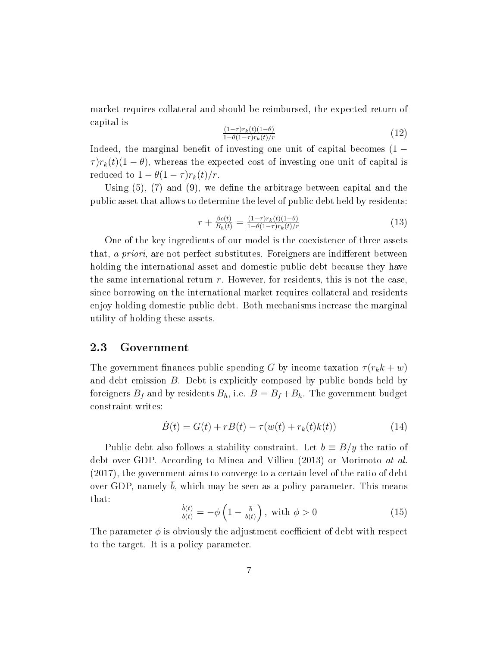market requires collateral and should be reimbursed, the expected return of capital is

$$
\frac{(1-\tau)r_k(t)(1-\theta)}{1-\theta(1-\tau)r_k(t)/r}
$$
\n(12)

Indeed, the marginal benefit of investing one unit of capital becomes  $(1 \tau$ ) $r_k(t)(1 - \theta)$ , whereas the expected cost of investing one unit of capital is reduced to  $1 - \theta(1 - \tau)r_k(t)/r$ .

Using  $(5)$ ,  $(7)$  and  $(9)$ , we define the arbitrage between capital and the public asset that allows to determine the level of public debt held by residents:

$$
r + \frac{\beta c(t)}{B_h(t)} = \frac{(1-\tau)r_k(t)(1-\theta)}{1-\theta(1-\tau)r_k(t)/r}
$$
(13)

One of the key ingredients of our model is the coexistence of three assets that, a priori, are not perfect substitutes. For eigners are indifferent between holding the international asset and domestic public debt because they have the same international return  $r$ . However, for residents, this is not the case. since borrowing on the international market requires collateral and residents enjoy holding domestic public debt. Both mechanisms increase the marginal utility of holding these assets.

#### 2.3 Government

The government finances public spending G by income taxation  $\tau(r_k k + w)$ and debt emission B. Debt is explicitly composed by public bonds held by foreigners  $B_f$  and by residents  $B_h$ , i.e.  $B = B_f + B_h$ . The government budget constraint writes:

$$
\dot{B}(t) = G(t) + rB(t) - \tau(w(t) + r_k(t)k(t))
$$
\n(14)

Public debt also follows a stability constraint. Let  $b \equiv B/y$  the ratio of debt over GDP. According to Minea and Villieu (2013) or Morimoto at al. (2017), the government aims to converge to a certain level of the ratio of debt over GDP, namely  $\overline{b}$ , which may be seen as a policy parameter. This means that:

$$
\frac{\dot{b}(t)}{b(t)} = -\phi \left( 1 - \frac{\bar{b}}{b(t)} \right), \text{ with } \phi > 0 \tag{15}
$$

The parameter  $\phi$  is obviously the adjustment coefficient of debt with respect to the target. It is a policy parameter.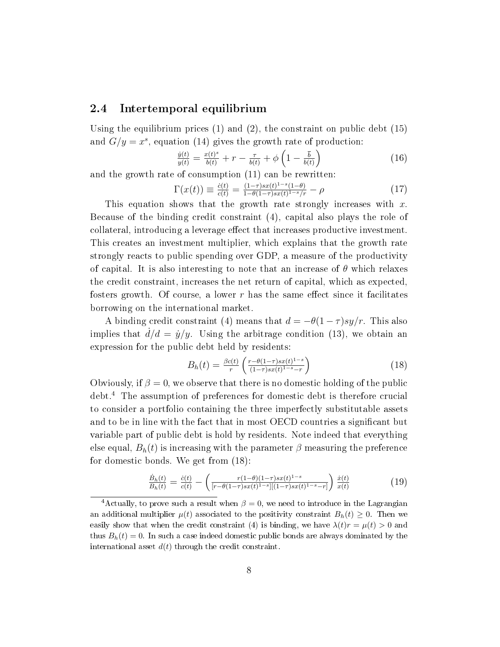### 2.4 Intertemporal equilibrium

Using the equilibrium prices  $(1)$  and  $(2)$ , the constraint on public debt  $(15)$ and  $G/y = x^s$ , equation (14) gives the growth rate of production:

$$
\frac{\dot{y}(t)}{y(t)} = \frac{x(t)^s}{b(t)} + r - \frac{\tau}{b(t)} + \phi \left( 1 - \frac{\bar{b}}{b(t)} \right) \tag{16}
$$

and the growth rate of consumption (11) can be rewritten:

$$
\Gamma(x(t)) \equiv \frac{\dot{c}(t)}{c(t)} = \frac{(1-\tau)sx(t)^{1-s}(1-\theta)}{1-\theta(1-\tau)sx(t)^{1-s}/r} - \rho \tag{17}
$$

This equation shows that the growth rate strongly increases with  $x$ . Because of the binding credit constraint (4), capital also plays the role of collateral, introducing a leverage effect that increases productive investment. This creates an investment multiplier, which explains that the growth rate strongly reacts to public spending over GDP, a measure of the productivity of capital. It is also interesting to note that an increase of  $\theta$  which relaxes the credit constraint, increases the net return of capital, which as expected, fosters growth. Of course, a lower r has the same effect since it facilitates borrowing on the international market.

A binding credit constraint (4) means that  $d = -\theta(1-\tau) s y/r$ . This also implies that  $d/d = \dot{y}/y$ . Using the arbitrage condition (13), we obtain an expression for the public debt held by residents:

$$
B_h(t) = \frac{\beta c(t)}{r} \left( \frac{r - \theta(1-\tau)sx(t)^{1-s}}{(1-\tau)sx(t)^{1-s}-r} \right) \tag{18}
$$

Obviously, if  $\beta = 0$ , we observe that there is no domestic holding of the public debt.<sup>4</sup> The assumption of preferences for domestic debt is therefore crucial to consider a portfolio containing the three imperfectly substitutable assets and to be in line with the fact that in most OECD countries a signicant but variable part of public debt is hold by residents. Note indeed that everything else equal,  $B_h(t)$  is increasing with the parameter  $\beta$  measuring the preference for domestic bonds. We get from (18):

$$
\frac{\dot{B}_h(t)}{B_h(t)} = \frac{\dot{c}(t)}{c(t)} - \left( \frac{r(1-\theta)(1-\tau)sx(t)^{1-s}}{[r-\theta(1-\tau)sx(t)^{1-s}][(1-\tau)sx(t)^{1-s}-r]} \right) \frac{\dot{x}(t)}{x(t)}
$$
(19)

<sup>&</sup>lt;sup>4</sup>Actually, to prove such a result when  $\beta = 0$ , we need to introduce in the Lagrangian an additional multiplier  $\mu(t)$  associated to the positivity constraint  $B_h(t) \geq 0$ . Then we easily show that when the credit constraint (4) is binding, we have  $\lambda(t)r = \mu(t) > 0$  and thus  $B_h(t) = 0$ . In such a case indeed domestic public bonds are always dominated by the international asset  $d(t)$  through the credit constraint.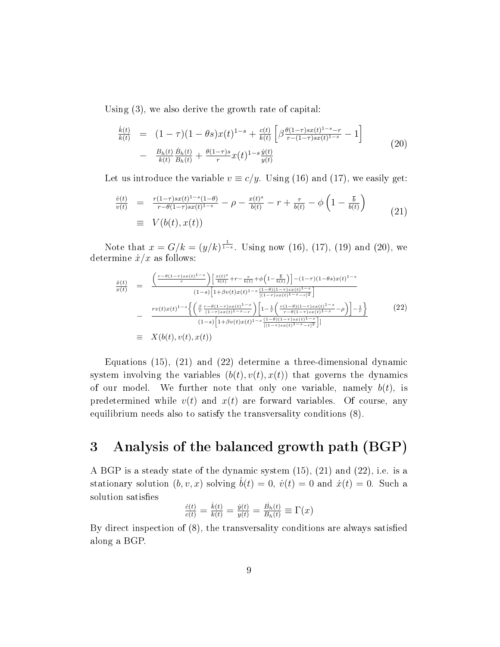Using (3), we also derive the growth rate of capital:

$$
\frac{\dot{k}(t)}{k(t)} = (1 - \tau)(1 - \theta s)x(t)^{1-s} + \frac{c(t)}{k(t)} \left[ \beta \frac{\theta(1-\tau)sx(t)^{1-s}-r}{r-(1-\tau)sx(t)^{1-s}} - 1 \right] \n- \frac{B_h(t)}{k(t)} \frac{\dot{B}_h(t)}{B_h(t)} + \frac{\theta(1-\tau)s}{r}x(t)^{1-s}\frac{\dot{y}(t)}{y(t)}
$$
\n(20)

Let us introduce the variable  $v \equiv c/y$ . Using (16) and (17), we easily get:

$$
\frac{\dot{v}(t)}{v(t)} = \frac{r(1-\tau)sx(t)^{1-s}(1-\theta)}{r-\theta(1-\tau)sx(t)^{1-s}} - \rho - \frac{x(t)^s}{b(t)} - r + \frac{\tau}{b(t)} - \phi\left(1 - \frac{\bar{b}}{b(t)}\right)
$$
\n
$$
\equiv V(b(t), x(t)) \tag{21}
$$

Note that  $x = G/k = (y/k)^{\frac{1}{1-s}}$ . Using now (16), (17), (19) and (20), we determine  $\dot{x}/x$  as follows:

$$
\frac{\dot{x}(t)}{x(t)} = \frac{\left(\frac{r-\theta(1-\tau)sx(t)^{1-s}}{r}\right)\left[\frac{x(t)^{s}}{b(t)} + r - \frac{\tau}{b(t)} + \phi\left(1 - \frac{\overline{b}}{b(t)}\right)\right] - (1-\tau)(1-\theta s)x(t)^{1-s}}{(1-s)\left[1+\beta v(t)x(t)^{1-s}\frac{(1-\theta)(1-\tau)sx(t)^{1-s}}{[(1-\tau)sx(t)^{1-s}-r]^2}\right]}
$$
\n
$$
-\frac{rv(t)x(t)^{1-s}\left\{\left(\frac{\beta}{r}\frac{r-\theta(1-\tau)sx(t)^{1-s}}{(1-\tau)sx(t)^{1-s}-r}\right)\left[1 - \frac{1}{r}\left(\frac{r(1-\theta)(1-\tau)sx(t)^{1-s}}{r-\theta(1-\tau)sx(t)^{1-s}} - \rho\right)\right] - \frac{1}{r}\right\}}{(1-s)\left[1+\beta v(t)x(t)^{1-s}\frac{(1-\theta)(1-\tau)sx(t)^{1-s}}{[(1-\tau)sx(t)^{1-s}-r]^2}\right]}
$$
\n
$$
\equiv X(b(t), v(t), x(t)) \tag{22}
$$

Equations (15), (21) and (22) determine a three-dimensional dynamic system involving the variables  $(b(t), v(t), x(t))$  that governs the dynamics of our model. We further note that only one variable, namely  $b(t)$ , is predetermined while  $v(t)$  and  $x(t)$  are forward variables. Of course, any equilibrium needs also to satisfy the transversality conditions (8).

# 3 Analysis of the balanced growth path (BGP)

A BGP is a steady state of the dynamic system (15), (21) and (22), i.e. is a stationary solution  $(b, v, x)$  solving  $\dot{b}(t) = 0$ ,  $\dot{v}(t) = 0$  and  $\dot{x}(t) = 0$ . Such a solution satisfies

$$
\frac{\dot{c}(t)}{c(t)} = \frac{\dot{k}(t)}{k(t)} = \frac{\dot{y}(t)}{y(t)} = \frac{\dot{B}_h(t)}{B_h(t)} \equiv \Gamma(x)
$$

By direct inspection of (8), the transversality conditions are always satised along a BGP.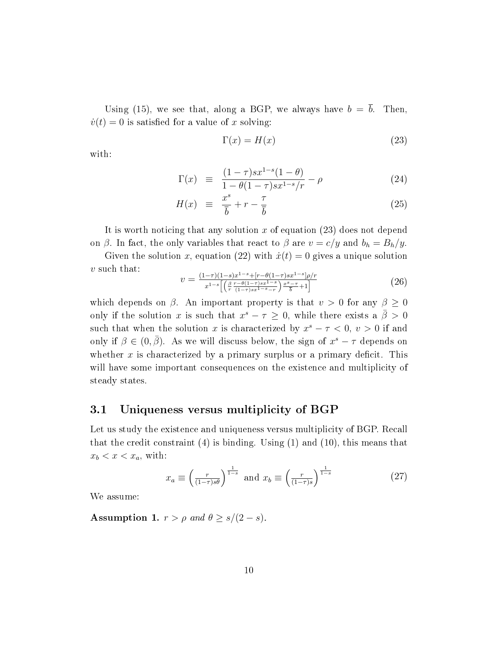Using (15), we see that, along a BGP, we always have  $b = \bar{b}$ . Then,  $\dot{v}(t) = 0$  is satisfied for a value of x solving:

$$
\Gamma(x) = H(x) \tag{23}
$$

with:

$$
\Gamma(x) \equiv \frac{(1-\tau)sx^{1-s}(1-\theta)}{1-\theta(1-\tau)sx^{1-s}/r} - \rho \tag{24}
$$

$$
H(x) \equiv \frac{x^s}{\overline{b}} + r - \frac{\tau}{\overline{b}} \tag{25}
$$

It is worth noticing that any solution x of equation  $(23)$  does not depend on  $\beta$ . In fact, the only variables that react to  $\beta$  are  $v = c/y$  and  $b_h = B_h/y$ .

Given the solution x, equation (22) with  $\dot{x}(t) = 0$  gives a unique solution  $v$  such that:

$$
v = \frac{(1-\tau)(1-s)x^{1-s}+[r-\theta(1-\tau)sx^{1-s}]\rho/r}{x^{1-s}\left[\left(\frac{\beta}{r}\frac{r-\theta(1-\tau)sx^{1-s}}{(1-\tau)sx^{1-s}-r}\right)\frac{x^s-\tau}{\bar{b}}+1\right]}
$$
(26)

which depends on  $\beta$ . An important property is that  $v > 0$  for any  $\beta \geq 0$ only if the solution x is such that  $x^s - \tau \geq 0$ , while there exists a  $\bar{\beta} > 0$ such that when the solution x is characterized by  $x^s - \tau < 0$ ,  $v > 0$  if and only if  $\beta \in (0, \bar{\beta})$ . As we will discuss below, the sign of  $x^s - \tau$  depends on whether  $x$  is characterized by a primary surplus or a primary deficit. This will have some important consequences on the existence and multiplicity of steady states.

### 3.1 Uniqueness versus multiplicity of BGP

Let us study the existence and uniqueness versus multiplicity of BGP. Recall that the credit constraint (4) is binding. Using (1) and (10), this means that  $x_b < x < x_a$ , with:

$$
x_a \equiv \left(\frac{r}{(1-\tau)s\theta}\right)^{\frac{1}{1-s}} \text{ and } x_b \equiv \left(\frac{r}{(1-\tau)s}\right)^{\frac{1}{1-s}}
$$
(27)

We assume:

Assumption 1.  $r > \rho$  and  $\theta \ge s/(2 - s)$ .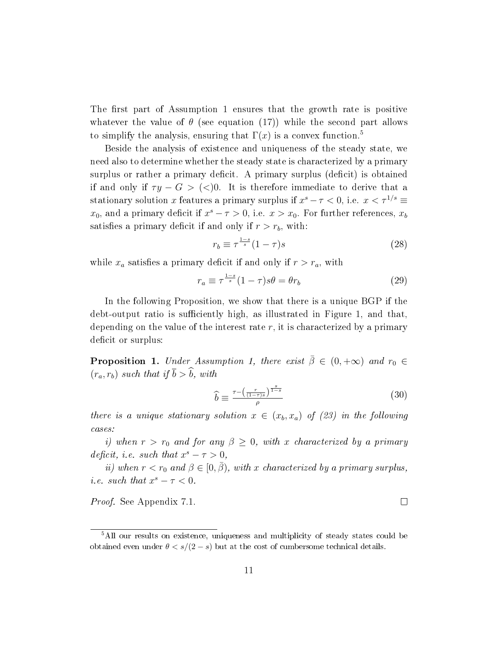The first part of Assumption 1 ensures that the growth rate is positive whatever the value of  $\theta$  (see equation (17)) while the second part allows to simplify the analysis, ensuring that  $\Gamma(x)$  is a convex function.<sup>5</sup>

Beside the analysis of existence and uniqueness of the steady state, we need also to determine whether the steady state is characterized by a primary surplus or rather a primary deficit. A primary surplus (deficit) is obtained if and only if  $\tau y - G > \langle \langle \rangle 0$ . It is therefore immediate to derive that a stationary solution x features a primary surplus if  $x^{s} - \tau < 0$ , i.e.  $x < \tau^{1/s} \equiv$  $x_0$ , and a primary deficit if  $x^s - \tau > 0$ , i.e.  $x > x_0$ . For further references,  $x_b$ satisfies a primary deficit if and only if  $r > r_b$ , with:

$$
r_b \equiv \tau^{\frac{1-s}{s}} (1-\tau)s \tag{28}
$$

while  $x_a$  satisfies a primary deficit if and only if  $r > r_a$ , with

$$
r_a \equiv \tau^{\frac{1-s}{s}} (1-\tau)s\theta = \theta r_b \tag{29}
$$

In the following Proposition, we show that there is a unique BGP if the debt-output ratio is sufficiently high, as illustrated in Figure 1, and that, depending on the value of the interest rate  $r$ , it is characterized by a primary deficit or surplus:

**Proposition 1.** Under Assumption 1, there exist  $\bar{\beta} \in (0, +\infty)$  and  $r_0 \in$  $(r_a, r_b)$  such that if  $\bar{b} > \hat{b}$ , with

$$
\hat{b} \equiv \frac{\tau - \left(\frac{r}{(1-\tau)s}\right)^{\frac{s}{1-s}}}{\rho} \tag{30}
$$

there is a unique stationary solution  $x \in (x_b, x_a)$  of (23) in the following cases:

i) when  $r > r_0$  and for any  $\beta \geq 0$ , with x characterized by a primary deficit, i.e. such that  $x^s - \tau > 0$ ,

ii) when  $r < r_0$  and  $\beta \in [0, \bar{\beta})$ , with x characterized by a primary surplus, *i.e.* such that  $x^s - \tau < 0$ .

Proof. See Appendix 7.1.

 $\Box$ 

<sup>&</sup>lt;sup>5</sup>All our results on existence, uniqueness and multiplicity of steady states could be obtained even under  $\theta < s/(2 - s)$  but at the cost of cumbersome technical details.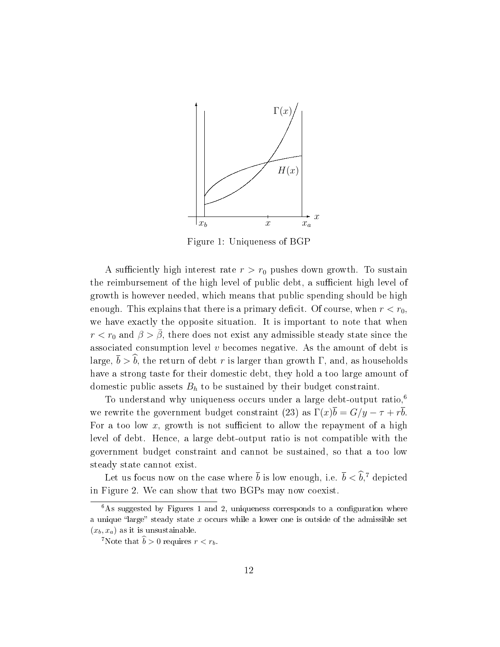

Figure 1: Uniqueness of BGP

A sufficiently high interest rate  $r > r_0$  pushes down growth. To sustain the reimbursement of the high level of public debt, a sufficient high level of growth is however needed, which means that public spending should be high enough. This explains that there is a primary deficit. Of course, when  $r < r_0$ , we have exactly the opposite situation. It is important to note that when  $r < r_0$  and  $\beta > \bar{\beta}$ , there does not exist any admissible steady state since the associated consumption level  $v$  becomes negative. As the amount of debt is large,  $\bar{b} > \hat{b}$ , the return of debt r is larger than growth Γ, and, as households have a strong taste for their domestic debt, they hold a too large amount of domestic public assets  $B_h$  to be sustained by their budget constraint.

To understand why uniqueness occurs under a large debt-output ratio, $6$ we rewrite the government budget constraint (23) as  $\Gamma(x)\overline{b} = G/y - \tau + r\overline{b}$ . For a too low  $x$ , growth is not sufficient to allow the repayment of a high level of debt. Hence, a large debt-output ratio is not compatible with the government budget constraint and cannot be sustained, so that a too low steady state cannot exist.

Let us focus now on the case where  $\bar{b}$  is low enough, i.e.  $\bar{b} < \widehat{b}$ ,<sup>7</sup> depicted in Figure 2. We can show that two BGPs may now coexist.

 $\frac{6}{6}$ As suggested by Figures 1 and 2, uniqueness corresponds to a configuration where a unique "large" steady state  $x$  occurs while a lower one is outside of the admissible set  $(x_b, x_a)$  as it is unsustainable.

<sup>&</sup>lt;sup>7</sup>Note that  $\hat{b} > 0$  requires  $r < r_b$ .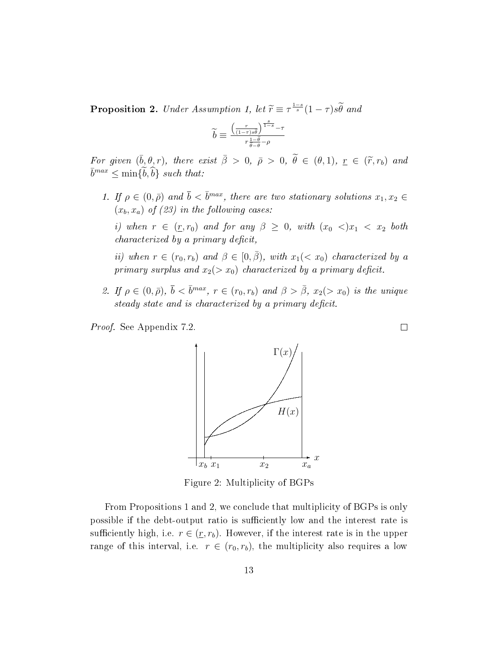**Proposition 2.** Under Assumption 1, let  $\widetilde{r} \equiv \tau^{\frac{1-s}{s}}(1-\tau)s\widetilde{\theta}$  and

$$
\widetilde{b}\equiv \tfrac{\left(\frac{r}{(1-\tau)s\widetilde{\theta}}\right)^{\frac{s}{1-s}}-\tau}{r\frac{1-\widetilde{\theta}}{\widetilde{\theta}-\theta}-\rho}
$$

For given  $(\bar{b}, \theta, r)$ , there exist  $\bar{\beta} > 0$ ,  $\bar{\rho} > 0$ ,  $\tilde{\theta} \in (\theta, 1)$ ,  $\underline{r} \in (\tilde{r}, r_b)$  and  $\bar{t}$  $\bar{b}^{max} \leq \min\{\tilde{b},\tilde{b}\}$  such that:

1. If  $\rho \in (0, \bar{\rho})$  and  $\bar{b} < \bar{b}^{max}$ , there are two stationary solutions  $x_1, x_2 \in$  $(x_b, x_a)$  of (23) in the following cases:

i) when  $r \in (r, r_0)$  and for any  $\beta \geq 0$ , with  $(x_0 <) x_1 < x_2$  both  $characterized by a primary deficit,$ 

ii) when  $r \in (r_0, r_b)$  and  $\beta \in [0, \overline{\beta})$ , with  $x_1 \ll x_0$ ) characterized by a primary surplus and  $x_2(> x_0)$  characterized by a primary deficit.

2. If  $\rho \in (0, \bar{\rho})$ ,  $\bar{b} < \bar{b}^{max}$ ,  $r \in (r_0, r_b)$  and  $\beta > \bar{\beta}$ ,  $x_2(> x_0)$  is the unique steady state and is characterized by a primary deficit.

Proof. See Appendix 7.2.



Figure 2: Multiplicity of BGPs

From Propositions 1 and 2, we conclude that multiplicity of BGPs is only possible if the debt-output ratio is sufficiently low and the interest rate is sufficiently high, i.e.  $r \in (\underline{r}, r_b)$ . However, if the interest rate is in the upper range of this interval, i.e.  $r \in (r_0, r_b)$ , the multiplicity also requires a low

 $\Box$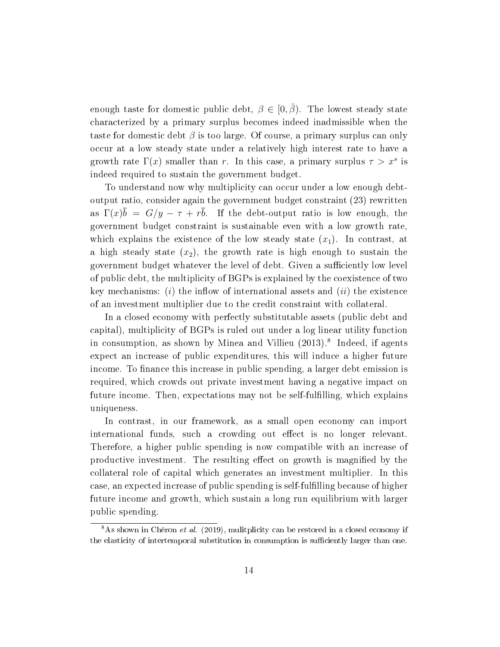enough taste for domestic public debt,  $\beta \in [0, \bar{\beta})$ . The lowest steady state characterized by a primary surplus becomes indeed inadmissible when the taste for domestic debt  $\beta$  is too large. Of course, a primary surplus can only occur at a low steady state under a relatively high interest rate to have a growth rate  $\Gamma(x)$  smaller than r. In this case, a primary surplus  $\tau > x^s$  is indeed required to sustain the government budget.

To understand now why multiplicity can occur under a low enough debtoutput ratio, consider again the government budget constraint (23) rewritten as  $\Gamma(x)\overline{b} = G/y - \tau + r\overline{b}$ . If the debt-output ratio is low enough, the government budget constraint is sustainable even with a low growth rate, which explains the existence of the low steady state  $(x_1)$ . In contrast, at a high steady state  $(x_2)$ , the growth rate is high enough to sustain the government budget whatever the level of debt. Given a sufficiently low level of public debt, the multiplicity of BGPs is explained by the coexistence of two key mechanisms: (i) the inflow of international assets and (ii) the existence of an investment multiplier due to the credit constraint with collateral.

In a closed economy with perfectly substitutable assets (public debt and capital), multiplicity of BGPs is ruled out under a log linear utility function in consumption, as shown by Minea and Villieu (2013).<sup>8</sup> Indeed, if agents expect an increase of public expenditures, this will induce a higher future income. To finance this increase in public spending, a larger debt emission is required, which crowds out private investment having a negative impact on future income. Then, expectations may not be self-fulfilling, which explains uniqueness.

In contrast, in our framework, as a small open economy can import international funds, such a crowding out effect is no longer relevant. Therefore, a higher public spending is now compatible with an increase of productive investment. The resulting effect on growth is magnified by the collateral role of capital which generates an investment multiplier. In this case, an expected increase of public spending is self-fullling because of higher future income and growth, which sustain a long run equilibrium with larger public spending.

 $8\text{As}$  shown in Chéron et al. (2019), mulitplicity can be restored in a closed economy if the elasticity of intertemporal substitution in consumption is sufficiently larger than one.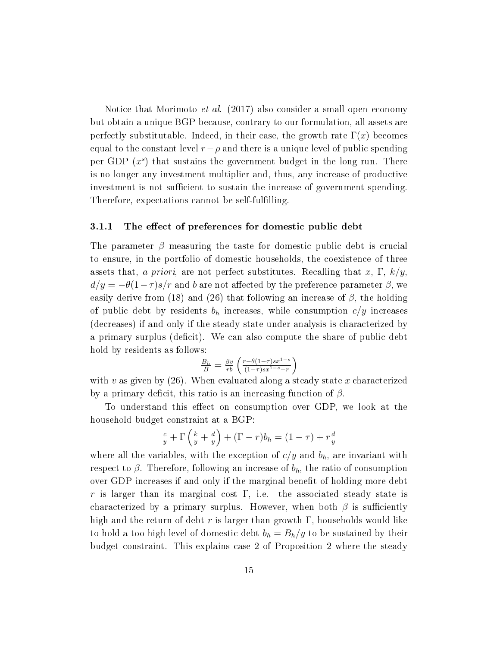Notice that Morimoto *et al.* (2017) also consider a small open economy but obtain a unique BGP because, contrary to our formulation, all assets are perfectly substitutable. Indeed, in their case, the growth rate  $\Gamma(x)$  becomes equal to the constant level  $r-\rho$  and there is a unique level of public spending per GDP  $(x<sup>s</sup>)$  that sustains the government budget in the long run. There is no longer any investment multiplier and, thus, any increase of productive investment is not sufficient to sustain the increase of government spending. Therefore, expectations cannot be self-fulfilling.

#### 3.1.1 The effect of preferences for domestic public debt

The parameter  $\beta$  measuring the taste for domestic public debt is crucial to ensure, in the portfolio of domestic households, the coexistence of three assets that, a priori, are not perfect substitutes. Recalling that x,  $\Gamma$ ,  $k/y$ ,  $d/y = -\theta(1-\tau)s/r$  and b are not affected by the preference parameter  $\beta$ , we easily derive from (18) and (26) that following an increase of  $\beta$ , the holding of public debt by residents  $b_h$  increases, while consumption  $c/y$  increases (decreases) if and only if the steady state under analysis is characterized by a primary surplus (deficit). We can also compute the share of public debt hold by residents as follows:

$$
\frac{B_h}{B} = \frac{\beta v}{r \overline{b}} \left( \frac{r - \theta(1-\tau) s x^{1-s}}{(1-\tau) s x^{1-s} - r} \right)
$$

with v as given by  $(26)$ . When evaluated along a steady state x characterized by a primary deficit, this ratio is an increasing function of  $\beta$ .

To understand this effect on consumption over GDP, we look at the household budget constraint at a BGP:

$$
\frac{c}{y} + \Gamma\left(\frac{k}{y} + \frac{d}{y}\right) + (\Gamma - r)b_h = (1 - \tau) + r\frac{d}{y}
$$

where all the variables, with the exception of  $c/y$  and  $b<sub>h</sub>$ , are invariant with respect to  $\beta$ . Therefore, following an increase of  $b_h$ , the ratio of consumption over GDP increases if and only if the marginal benefit of holding more debt r is larger than its marginal cost  $\Gamma$ , i.e. the associated steady state is characterized by a primary surplus. However, when both  $\beta$  is sufficiently high and the return of debt r is larger than growth  $\Gamma$ , households would like to hold a too high level of domestic debt  $b_h = B_h/y$  to be sustained by their budget constraint. This explains case 2 of Proposition 2 where the steady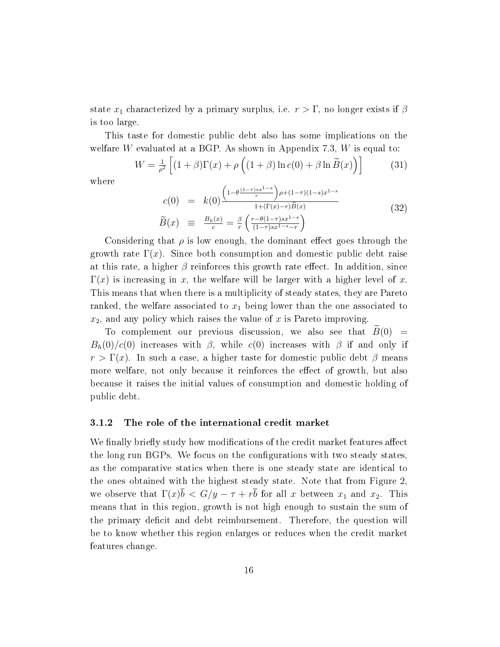state  $x_1$  characterized by a primary surplus, i.e.  $r > \Gamma$ , no longer exists if  $\beta$ is too large.

This taste for domestic public debt also has some implications on the welfare W evaluated at a BGP. As shown in Appendix 7.3,  $W$  is equal to:

$$
W = \frac{1}{\rho^2} \left[ (1+\beta)\Gamma(x) + \rho \left( (1+\beta)\ln c(0) + \beta \ln \tilde{B}(x) \right) \right] \tag{31}
$$

where

$$
c(0) = k(0) \frac{\left(1 - \theta \frac{(1-\tau)sx^{1-s}}{r}\right) \rho + (1-\tau)(1-s)x^{1-s}}{1 + (\Gamma(x) - r)\widetilde{B}(x)}
$$
\n
$$
\widetilde{B}(x) \equiv \frac{B_h(x)}{c} = \frac{\beta}{r} \left(\frac{r - \theta(1-\tau)sx^{1-s}}{(1-\tau)sx^{1-s}-r}\right)
$$
\n(32)

Considering that  $\rho$  is low enough, the dominant effect goes through the growth rate  $\Gamma(x)$ . Since both consumption and domestic public debt raise at this rate, a higher  $\beta$  reinforces this growth rate effect. In addition, since  $\Gamma(x)$  is increasing in x, the welfare will be larger with a higher level of x. This means that when there is a multiplicity of steady states, they are Pareto ranked, the welfare associated to  $x_1$  being lower than the one associated to  $x_2$ , and any policy which raises the value of x is Pareto improving.

To complement our previous discussion, we also see that  $\widetilde{B}(0)$  =  $B_h(0)/c(0)$  increases with  $\beta$ , while  $c(0)$  increases with  $\beta$  if and only if  $r > \Gamma(x)$ . In such a case, a higher taste for domestic public debt  $\beta$  means more welfare, not only because it reinforces the effect of growth, but also because it raises the initial values of consumption and domestic holding of public debt.

#### 3.1.2 The role of the international credit market

We finally briefly study how modifications of the credit market features affect the long run BGPs. We focus on the configurations with two steady states, as the comparative statics when there is one steady state are identical to the ones obtained with the highest steady state. Note that from Figure 2, we observe that  $\Gamma(x)\overline{b} < G/y - \tau + r\overline{b}$  for all x between  $x_1$  and  $x_2$ . This means that in this region, growth is not high enough to sustain the sum of the primary deficit and debt reimbursement. Therefore, the question will be to know whether this region enlarges or reduces when the credit market features change.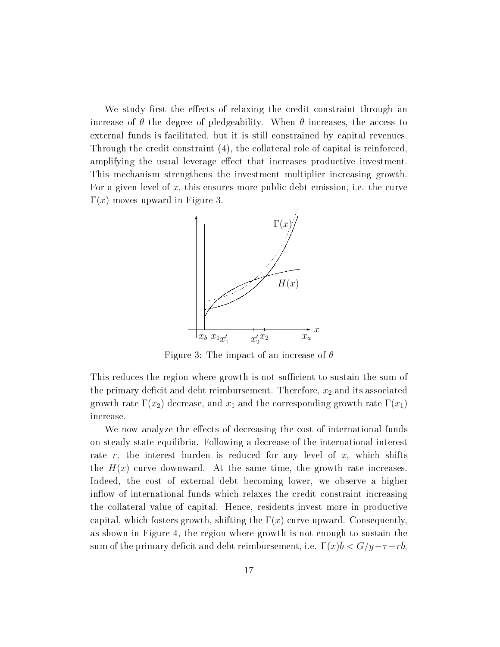We study first the effects of relaxing the credit constraint through an increase of  $\theta$  the degree of pledgeability. When  $\theta$  increases, the access to external funds is facilitated, but it is still constrained by capital revenues. Through the credit constraint (4), the collateral role of capital is reinforced, amplifying the usual leverage effect that increases productive investment. This mechanism strengthens the investment multiplier increasing growth. For a given level of x, this ensures more public debt emission, i.e. the curve  $\Gamma(x)$  moves upward in Figure 3.



Figure 3: The impact of an increase of  $\theta$ 

This reduces the region where growth is not sufficient to sustain the sum of the primary deficit and debt reimbursement. Therefore,  $x_2$  and its associated growth rate  $\Gamma(x_2)$  decrease, and  $x_1$  and the corresponding growth rate  $\Gamma(x_1)$ increase.

We now analyze the effects of decreasing the cost of international funds on steady state equilibria. Following a decrease of the international interest rate r, the interest burden is reduced for any level of x, which shifts the  $H(x)$  curve downward. At the same time, the growth rate increases. Indeed, the cost of external debt becoming lower, we observe a higher inflow of international funds which relaxes the credit constraint increasing the collateral value of capital. Hence, residents invest more in productive capital, which fosters growth, shifting the  $\Gamma(x)$  curve upward. Consequently, as shown in Figure 4, the region where growth is not enough to sustain the sum of the primary deficit and debt reimbursement, i.e.  $\Gamma(x)\overline{b} < G/y - \tau + r\overline{b}$ ,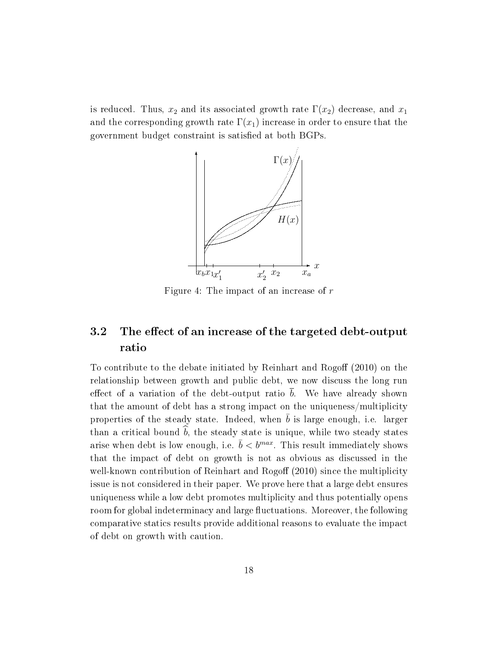is reduced. Thus,  $x_2$  and its associated growth rate  $\Gamma(x_2)$  decrease, and  $x_1$ and the corresponding growth rate  $\Gamma(x_1)$  increase in order to ensure that the government budget constraint is satisfied at both BGPs.



Figure 4: The impact of an increase of r

# 3.2 The effect of an increase of the targeted debt-output ratio

To contribute to the debate initiated by Reinhart and Rogoff  $(2010)$  on the relationship between growth and public debt, we now discuss the long run effect of a variation of the debt-output ratio  $\overline{b}$ . We have already shown that the amount of debt has a strong impact on the uniqueness/multiplicity properties of the steady state. Indeed, when  $\bar{b}$  is large enough, i.e. larger than a critical bound  $\hat{b}$ , the steady state is unique, while two steady states arise when debt is low enough, i.e.  $\bar{b} < b^{max}$ . This result immediately shows that the impact of debt on growth is not as obvious as discussed in the well-known contribution of Reinhart and Rogoff (2010) since the multiplicity issue is not considered in their paper. We prove here that a large debt ensures uniqueness while a low debt promotes multiplicity and thus potentially opens room for global indeterminacy and large fluctuations. Moreover, the following comparative statics results provide additional reasons to evaluate the impact of debt on growth with caution.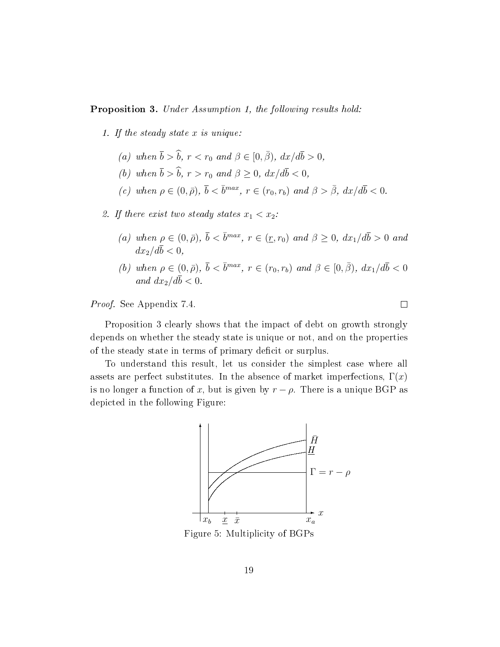#### **Proposition 3.** Under Assumption 1, the following results hold:

- 1. If the steady state x is unique:
	- (a) when  $\bar{b} > \hat{b}$ ,  $r < r_0$  and  $\beta \in [0, \bar{\beta})$ ,  $dx/d\bar{b} > 0$ ,
	- (b) when  $\bar{b} > \hat{b}$ ,  $r > r_0$  and  $\beta \geq 0$ ,  $dx/d\bar{b} < 0$ ,
	- (c) when  $\rho \in (0, \bar{\rho}), \bar{b} < \bar{b}^{max}, r \in (r_0, r_b)$  and  $\beta > \bar{\beta}, dx/d\bar{b} < 0$ .

#### 2. If there exist two steady states  $x_1 < x_2$ :

- (a) when  $\rho \in (0, \bar{\rho}), \bar{b} < \bar{b}^{max}, r \in (\underline{r}, r_0)$  and  $\beta \geq 0, dx_1/d\bar{b} > 0$  and  $dx_2/d\overline{b} < 0$ .
- (b) when  $\rho \in (0, \bar{\rho}), \bar{b} < \bar{b}^{max}, r \in (r_0, r_b)$  and  $\beta \in [0, \bar{\beta}), dx_1/d\bar{b} < 0$ and  $dx_2/d\bar{b} < 0$ .

Proof. See Appendix 7.4.

Proposition 3 clearly shows that the impact of debt on growth strongly depends on whether the steady state is unique or not, and on the properties of the steady state in terms of primary deficit or surplus.

To understand this result, let us consider the simplest case where all assets are perfect substitutes. In the absence of market imperfections,  $\Gamma(x)$ is no longer a function of x, but is given by  $r - \rho$ . There is a unique BGP as depicted in the following Figure:



Figure 5: Multiplicity of BGPs

 $\Box$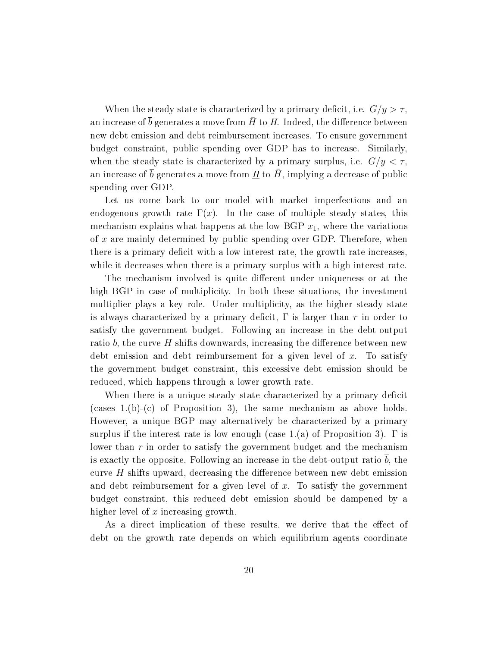When the steady state is characterized by a primary deficit, i.e.  $G/y > \tau$ , an increase of  $\bar{b}$  generates a move from  $\bar{H}$  to H. Indeed, the difference between new debt emission and debt reimbursement increases. To ensure government budget constraint, public spending over GDP has to increase. Similarly, when the steady state is characterized by a primary surplus, i.e.  $G/y < \tau$ , an increase of  $\bar{b}$  generates a move from  $\underline{H}$  to  $\bar{H}$ , implying a decrease of public spending over GDP.

Let us come back to our model with market imperfections and an endogenous growth rate  $\Gamma(x)$ . In the case of multiple steady states, this mechanism explains what happens at the low BGP  $x_1$ , where the variations of  $x$  are mainly determined by public spending over GDP. Therefore, when there is a primary deficit with a low interest rate, the growth rate increases. while it decreases when there is a primary surplus with a high interest rate.

The mechanism involved is quite different under uniqueness or at the high BGP in case of multiplicity. In both these situations, the investment multiplier plays a key role. Under multiplicity, as the higher steady state is always characterized by a primary deficit,  $\Gamma$  is larger than r in order to satisfy the government budget. Following an increase in the debt-output ratio  $\overline{b}$ , the curve H shifts downwards, increasing the difference between new debt emission and debt reimbursement for a given level of  $x$ . To satisfy the government budget constraint, this excessive debt emission should be reduced, which happens through a lower growth rate.

When there is a unique steady state characterized by a primary deficit (cases 1.(b)-(c) of Proposition 3), the same mechanism as above holds. However, a unique BGP may alternatively be characterized by a primary surplus if the interest rate is low enough (case 1.(a) of Proposition 3).  $\Gamma$  is lower than  $r$  in order to satisfy the government budget and the mechanism is exactly the opposite. Following an increase in the debt-output ratio  $\bar{b}$ , the curve  $H$  shifts upward, decreasing the difference between new debt emission and debt reimbursement for a given level of x. To satisfy the government budget constraint, this reduced debt emission should be dampened by a higher level of  $x$  increasing growth.

As a direct implication of these results, we derive that the effect of debt on the growth rate depends on which equilibrium agents coordinate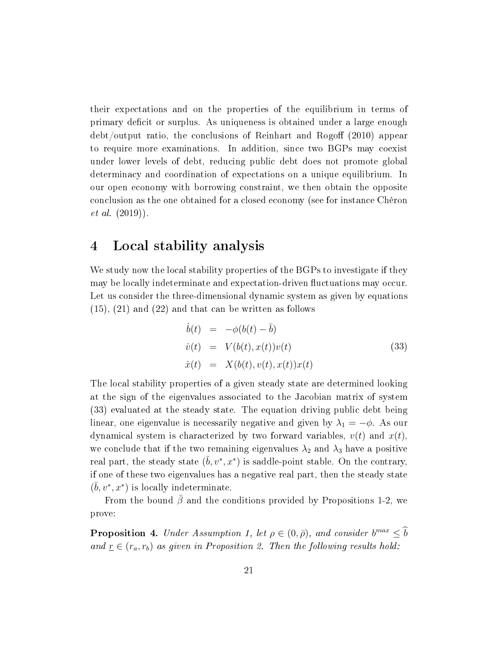their expectations and on the properties of the equilibrium in terms of primary deficit or surplus. As uniqueness is obtained under a large enough  $\text{debt}/\text{output}$  ratio, the conclusions of Reinhart and Rogoff (2010) appear to require more examinations. In addition, since two BGPs may coexist under lower levels of debt, reducing public debt does not promote global determinacy and coordination of expectations on a unique equilibrium. In our open economy with borrowing constraint, we then obtain the opposite conclusion as the one obtained for a closed economy (see for instance Chéron et al. (2019)).

### 4 Local stability analysis

We study now the local stability properties of the BGPs to investigate if they may be locally indeterminate and expectation-driven fluctuations may occur. Let us consider the three-dimensional dynamic system as given by equations (15), (21) and (22) and that can be written as follows

$$
\dot{b}(t) = -\phi(b(t) - \bar{b})
$$
\n
$$
\dot{v}(t) = V(b(t), x(t))v(t)
$$
\n
$$
\dot{x}(t) = X(b(t), v(t), x(t))x(t)
$$
\n(33)

The local stability properties of a given steady state are determined looking at the sign of the eigenvalues associated to the Jacobian matrix of system (33) evaluated at the steady state. The equation driving public debt being linear, one eigenvalue is necessarily negative and given by  $\lambda_1 = -\phi$ . As our dynamical system is characterized by two forward variables,  $v(t)$  and  $x(t)$ , we conclude that if the two remaining eigenvalues  $\lambda_2$  and  $\lambda_3$  have a positive real part, the steady state  $(\bar{b}, v^*, x^*)$  is saddle-point stable. On the contrary, if one of these two eigenvalues has a negative real part, then the steady state  $(\bar{b}, v^*, x^*)$  is locally indeterminate.

From the bound  $\bar{\beta}$  and the conditions provided by Propositions 1-2, we prove:

**Proposition 4.** Under Assumption 1, let  $\rho \in (0, \bar{\rho})$ , and consider  $b^{max} \leq b$ and  $\underline{r} \in (r_a, r_b)$  as given in Proposition 2. Then the following results hold: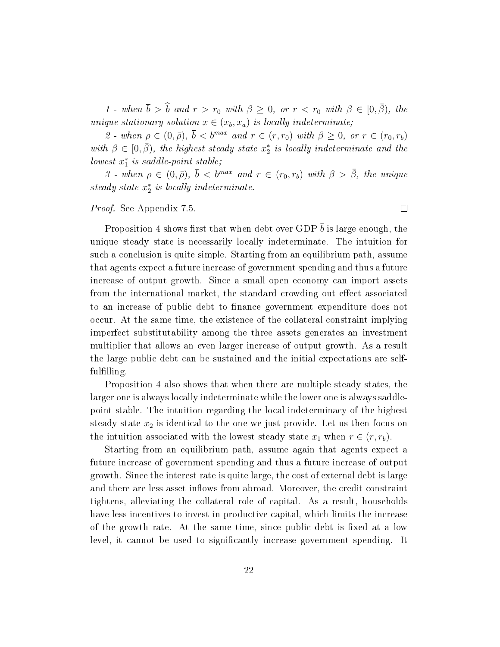1 - when  $\bar{b} > \hat{b}$  and  $r > r_0$  with  $\beta \geq 0$ , or  $r < r_0$  with  $\beta \in [0, \bar{\beta})$ , the unique stationary solution  $x \in (x_b, x_a)$  is locally indeterminate;

2 - when  $\rho \in (0, \bar{\rho}), \bar{b} < b^{max}$  and  $r \in (r, r_0)$  with  $\beta \geq 0$ , or  $r \in (r_0, r_b)$ with  $\beta \in [0, \bar{\beta})$ , the highest steady state  $x_2^*$  is locally indeterminate and the  $lowest x_1^*$  is saddle-point stable;

3 - when  $\rho \in (0, \bar{\rho})$ ,  $\bar{b} < b^{max}$  and  $r \in (r_0, r_b)$  with  $\beta > \bar{\beta}$ , the unique steady state  $x_2^*$  is locally indeterminate.

#### Proof. See Appendix 7.5.

Proposition 4 shows first that when debt over GDP  $\bar{b}$  is large enough, the unique steady state is necessarily locally indeterminate. The intuition for such a conclusion is quite simple. Starting from an equilibrium path, assume that agents expect a future increase of government spending and thus a future increase of output growth. Since a small open economy can import assets from the international market, the standard crowding out effect associated to an increase of public debt to finance government expenditure does not occur. At the same time, the existence of the collateral constraint implying imperfect substitutability among the three assets generates an investment multiplier that allows an even larger increase of output growth. As a result the large public debt can be sustained and the initial expectations are selffulfilling.

Proposition 4 also shows that when there are multiple steady states, the larger one is always locally indeterminate while the lower one is always saddlepoint stable. The intuition regarding the local indeterminacy of the highest steady state  $x_2$  is identical to the one we just provide. Let us then focus on the intuition associated with the lowest steady state  $x_1$  when  $r \in (\underline{r}, r_b)$ .

Starting from an equilibrium path, assume again that agents expect a future increase of government spending and thus a future increase of output growth. Since the interest rate is quite large, the cost of external debt is large and there are less asset inflows from abroad. Moreover, the credit constraint tightens, alleviating the collateral role of capital. As a result, households have less incentives to invest in productive capital, which limits the increase of the growth rate. At the same time, since public debt is fixed at a low level, it cannot be used to signicantly increase government spending. It

 $\Box$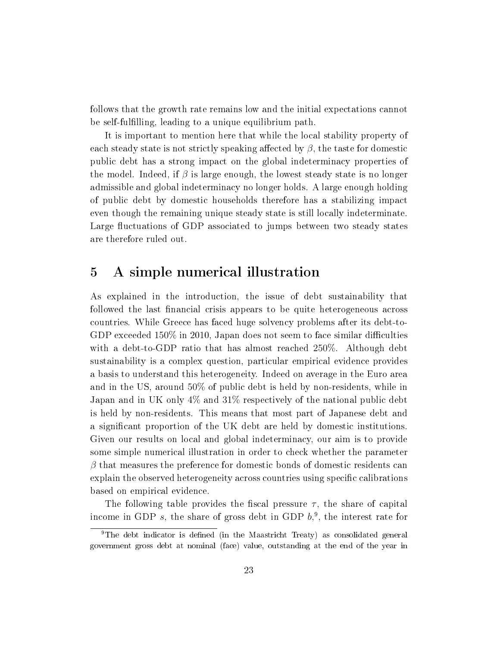follows that the growth rate remains low and the initial expectations cannot be self-fulfilling, leading to a unique equilibrium path.

It is important to mention here that while the local stability property of each steady state is not strictly speaking affected by  $\beta$ , the taste for domestic public debt has a strong impact on the global indeterminacy properties of the model. Indeed, if  $\beta$  is large enough, the lowest steady state is no longer admissible and global indeterminacy no longer holds. A large enough holding of public debt by domestic households therefore has a stabilizing impact even though the remaining unique steady state is still locally indeterminate. Large fluctuations of GDP associated to jumps between two steady states are therefore ruled out.

# 5 A simple numerical illustration

As explained in the introduction, the issue of debt sustainability that followed the last financial crisis appears to be quite heterogeneous across countries. While Greece has faced huge solvency problems after its debt-to-GDP exceeded  $150\%$  in 2010, Japan does not seem to face similar difficulties with a debt-to-GDP ratio that has almost reached 250%. Although debt sustainability is a complex question, particular empirical evidence provides a basis to understand this heterogeneity. Indeed on average in the Euro area and in the US, around 50% of public debt is held by non-residents, while in Japan and in UK only 4% and 31% respectively of the national public debt is held by non-residents. This means that most part of Japanese debt and a signicant proportion of the UK debt are held by domestic institutions. Given our results on local and global indeterminacy, our aim is to provide some simple numerical illustration in order to check whether the parameter  $\beta$  that measures the preference for domestic bonds of domestic residents can explain the observed heterogeneity across countries using specific calibrations based on empirical evidence.

The following table provides the fiscal pressure  $\tau$ , the share of capital income in GDP s, the share of gross debt in GDP  $b<sub>1</sub><sup>9</sup>$ , the interest rate for

 $9$ The debt indicator is defined (in the Maastricht Treaty) as consolidated general government gross debt at nominal (face) value, outstanding at the end of the year in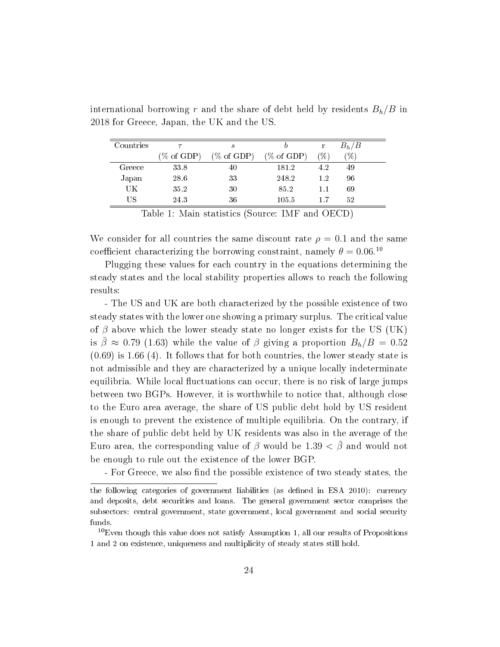| Countries |                       | $\boldsymbol{s}$      |                       | r                                         | $B_h/B$ |
|-----------|-----------------------|-----------------------|-----------------------|-------------------------------------------|---------|
|           | $(\% \text{ of GDP})$ | $(\% \text{ of GDP})$ | $(\% \text{ of GDP})$ | $(\%)$                                    | $(\%)$  |
| Greece    | 33.8                  | 40                    | 181.2                 | 4.2                                       | 49      |
| Japan     | 28.6                  | 33                    | 248.2                 | $1.2\,$                                   | 96      |
| UK        | 35.2                  | 30                    | 85.2                  | 1.1                                       | 69      |
| US.       | 24.3                  | 36                    | 105.5                 | 1.7                                       | 52      |
|           |                       |                       | -- --                 | $\sim$ $\sim$ $\sim$ $\sim$ $\sim$ $\sim$ |         |

international borrowing r and the share of debt held by residents  $B_h/B$  in 2018 for Greece, Japan, the UK and the US.

Table 1: Main statistics (Source: IMF and OECD)

We consider for all countries the same discount rate  $\rho = 0.1$  and the same coefficient characterizing the borrowing constraint, namely  $\theta = 0.06$ .<sup>10</sup>

Plugging these values for each country in the equations determining the steady states and the local stability properties allows to reach the following results:

- The US and UK are both characterized by the possible existence of two steady states with the lower one showing a primary surplus. The critical value of  $\beta$  above which the lower steady state no longer exists for the US (UK) is  $\bar{\beta} \approx 0.79$  (1.63) while the value of  $\beta$  giving a proportion  $B_h/B = 0.52$ (0.69) is 1.66 (4). It follows that for both countries, the lower steady state is not admissible and they are characterized by a unique locally indeterminate equilibria. While local fluctuations can occur, there is no risk of large jumps between two BGPs. However, it is worthwhile to notice that, although close to the Euro area average, the share of US public debt hold by US resident is enough to prevent the existence of multiple equilibria. On the contrary, if the share of public debt held by UK residents was also in the average of the Euro area, the corresponding value of  $\beta$  would be 1.39  $\lt \bar{\beta}$  and would not be enough to rule out the existence of the lower BGP.

- For Greece, we also find the possible existence of two steady states, the

the following categories of government liabilities (as dened in ESA 2010): currency and deposits, debt securities and loans. The general government sector comprises the subsectors: central government, state government, local government and social security funds.

 $10$ Even though this value does not satisfy Assumption 1, all our results of Propositions 1 and 2 on existence, uniqueness and multiplicity of steady states still hold.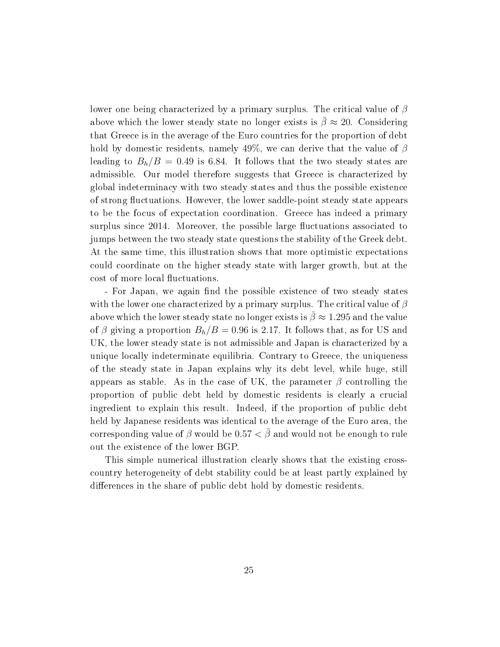lower one being characterized by a primary surplus. The critical value of  $\beta$ above which the lower steady state no longer exists is  $\bar{\beta} \approx 20$ . Considering that Greece is in the average of the Euro countries for the proportion of debt hold by domestic residents, namely 49%, we can derive that the value of  $\beta$ leading to  $B_h/B = 0.49$  is 6.84. It follows that the two steady states are admissible. Our model therefore suggests that Greece is characterized by global indeterminacy with two steady states and thus the possible existence of strong fluctuations. However, the lower saddle-point steady state appears to be the focus of expectation coordination. Greece has indeed a primary surplus since 2014. Moreover, the possible large fluctuations associated to jumps between the two steady state questions the stability of the Greek debt. At the same time, this illustration shows that more optimistic expectations could coordinate on the higher steady state with larger growth, but at the cost of more local fluctuations.

- For Japan, we again find the possible existence of two steady states with the lower one characterized by a primary surplus. The critical value of  $\beta$ above which the lower steady state no longer exists is  $\bar{\beta} \approx 1.295$  and the value of  $\beta$  giving a proportion  $B_h/B = 0.96$  is 2.17. It follows that, as for US and UK, the lower steady state is not admissible and Japan is characterized by a unique locally indeterminate equilibria. Contrary to Greece, the uniqueness of the steady state in Japan explains why its debt level, while huge, still appears as stable. As in the case of UK, the parameter  $\beta$  controlling the proportion of public debt held by domestic residents is clearly a crucial ingredient to explain this result. Indeed, if the proportion of public debt held by Japanese residents was identical to the average of the Euro area, the corresponding value of  $\beta$  would be 0.57  $\lt \bar{\beta}$  and would not be enough to rule out the existence of the lower BGP.

This simple numerical illustration clearly shows that the existing crosscountry heterogeneity of debt stability could be at least partly explained by differences in the share of public debt hold by domestic residents.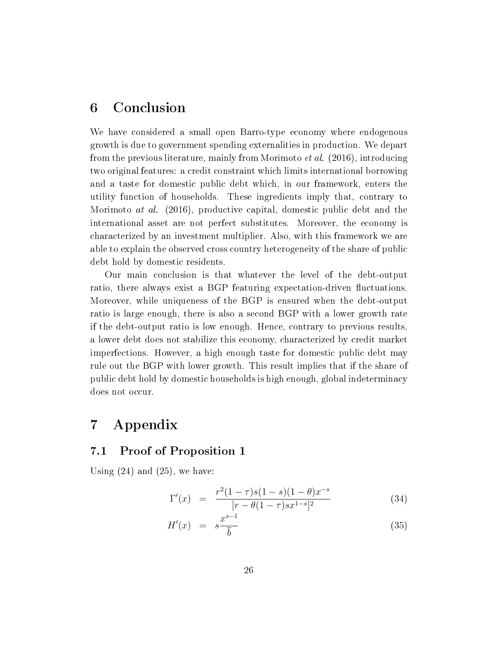# 6 Conclusion

We have considered a small open Barro-type economy where endogenous growth is due to government spending externalities in production. We depart from the previous literature, mainly from Morimoto et al. (2016), introducing two original features: a credit constraint which limits international borrowing and a taste for domestic public debt which, in our framework, enters the utility function of households. These ingredients imply that, contrary to Morimoto at al. (2016), productive capital, domestic public debt and the international asset are not perfect substitutes. Moreover, the economy is characterized by an investment multiplier. Also, with this framework we are able to explain the observed cross country heterogeneity of the share of public debt hold by domestic residents.

Our main conclusion is that whatever the level of the debt-output ratio, there always exist a BGP featuring expectation-driven fluctuations. Moreover, while uniqueness of the BGP is ensured when the debt-output ratio is large enough, there is also a second BGP with a lower growth rate if the debt-output ratio is low enough. Hence, contrary to previous results, a lower debt does not stabilize this economy, characterized by credit market imperfections. However, a high enough taste for domestic public debt may rule out the BGP with lower growth. This result implies that if the share of public debt hold by domestic households is high enough, global indeterminacy does not occur.

# 7 Appendix

### 7.1 Proof of Proposition 1

Using  $(24)$  and  $(25)$ , we have:

$$
\Gamma'(x) = \frac{r^2(1-\tau)s(1-s)(1-\theta)x^{-s}}{[r-\theta(1-\tau)sx^{1-s}]^2}
$$
\n(34)

$$
H'(x) = s \frac{x^{s-1}}{\bar{b}} \tag{35}
$$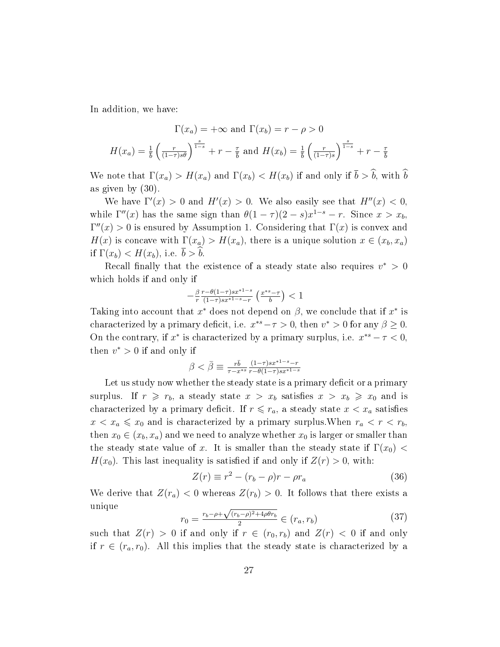In addition, we have:

$$
\Gamma(x_a) = +\infty \text{ and } \Gamma(x_b) = r - \rho > 0
$$

$$
H(x_a) = \frac{1}{b} \left(\frac{r}{(1-\tau)s\theta}\right)^{\frac{s}{1-s}} + r - \frac{\tau}{b} \text{ and } H(x_b) = \frac{1}{b} \left(\frac{r}{(1-\tau)s}\right)^{\frac{s}{1-s}} + r - \frac{\tau}{b}
$$

We note that  $\Gamma(x_a) > H(x_a)$  and  $\Gamma(x_b) < H(x_b)$  if and only if  $\bar{b} > \hat{b}$ , with  $\hat{b}$ as given by (30).

We have  $\Gamma'(x) > 0$  and  $H'(x) > 0$ . We also easily see that  $H''(x) < 0$ , while  $\Gamma''(x)$  has the same sign than  $\theta(1-\tau)(2-s)x^{1-s}-r$ . Since  $x > x_b$ ,  $\Gamma''(x) > 0$  is ensured by Assumption 1. Considering that  $\Gamma(x)$  is convex and  $H(x)$  is concave with  $\Gamma(x_a) > H(x_a)$ , there is a unique solution  $x \in (x_b, x_a)$ if  $\Gamma(x_b) < H(x_b)$ , i.e.  $\overline{b} > \overline{b}$ .

Recall finally that the existence of a steady state also requires  $v^* > 0$ which holds if and only if

$$
-\tfrac{\beta}{r}\tfrac{r-\theta(1-\tau)s x^{*1-s}}{(1-\tau)s x^{*1-s}-r}\left(\tfrac{x^{*s}-\tau}{\bar b}\right)<1
$$

Taking into account that  $x^*$  does not depend on  $\beta$ , we conclude that if  $x^*$  is characterized by a primary deficit, i.e.  $x^{*s} - \tau > 0$ , then  $v^* > 0$  for any  $\beta \geq 0$ . On the contrary, if  $x^*$  is characterized by a primary surplus, i.e.  $x^{*s} - \tau < 0$ , then  $v^* > 0$  if and only if

$$
\beta < \bar{\beta} \equiv \frac{r\bar{b}}{\tau - x^{*s}} \frac{(1-\tau)s x^{*1-s} - r}{r - \theta(1-\tau)s x^{*1-s}}
$$

Let us study now whether the steady state is a primary deficit or a primary surplus. If  $r \ge r_b$ , a steady state  $x > x_b$  satisfies  $x > x_b \ge x_0$  and is characterized by a primary deficit. If  $r \leq r_a$ , a steady state  $x < x_a$  satisfies  $x < x_a \leq x_0$  and is characterized by a primary surplus. When  $r_a < r < r_b$ , then  $x_0 \in (x_b, x_a)$  and we need to analyze whether  $x_0$  is larger or smaller than the steady state value of x. It is smaller than the steady state if  $\Gamma(x_0)$  <  $H(x_0)$ . This last inequality is satisfied if and only if  $Z(r) > 0$ , with:

$$
Z(r) \equiv r^2 - (r_b - \rho)r - \rho r_a \tag{36}
$$

We derive that  $Z(r_a) < 0$  whereas  $Z(r_b) > 0$ . It follows that there exists a unique √

$$
r_0 = \frac{r_b - \rho + \sqrt{(r_b - \rho)^2 + 4\rho \theta r_b}}{2} \in (r_a, r_b)
$$
\n(37)

such that  $Z(r) > 0$  if and only if  $r \in (r_0, r_b)$  and  $Z(r) < 0$  if and only if  $r \in (r_a, r_0)$ . All this implies that the steady state is characterized by a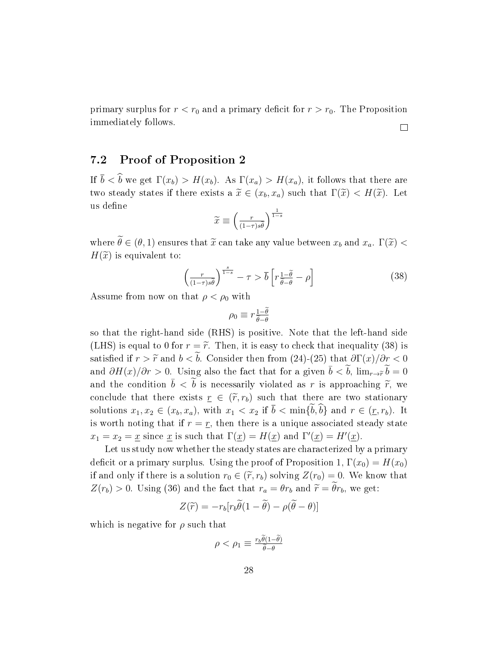primary surplus for  $r < r_0$  and a primary deficit for  $r > r_0$ . The Proposition immediately follows.  $\Box$ 

### 7.2 Proof of Proposition 2

If  $\bar{b} < \hat{b}$  we get  $\Gamma(x_b) > H(x_b)$ . As  $\Gamma(x_a) > H(x_a)$ , it follows that there are two steady states if there exists a  $\tilde{x} \in (x_b, x_a)$  such that  $\Gamma(\tilde{x}) < H(\tilde{x})$ . Let us define

$$
\widetilde{x} \equiv \left(\frac{r}{(1-\tau)s\widetilde{\theta}}\right)^{\frac{1}{1-s}}
$$

where  $\widetilde{\theta} \in (\theta, 1)$  ensures that  $\widetilde{x}$  can take any value between  $x_b$  and  $x_a$ .  $\Gamma(\widetilde{x})$  <  $H(\widetilde{x})$  is equivalent to:

$$
\left(\frac{r}{(1-\tau)s\tilde{\theta}}\right)^{\frac{s}{1-s}} - \tau > \overline{b}\left[r\frac{1-\tilde{\theta}}{\tilde{\theta}-\theta} - \rho\right]
$$
\n(38)

Assume from now on that  $\rho < \rho_0$  with

$$
\rho_0 \equiv r \tfrac{1-\widetilde{\theta}}{\widetilde{\theta}-\theta}
$$

so that the right-hand side (RHS) is positive. Note that the left-hand side (LHS) is equal to 0 for  $r = \tilde{r}$ . Then, it is easy to check that inequality (38) is satisfied if  $r > \tilde{r}$  and  $b < \tilde{b}$ . Consider then from (24)-(25) that  $\partial \Gamma(x)/\partial r < 0$ and  $\partial H(x)/\partial r > 0$ . Using also the fact that for a given  $\bar{b} < \tilde{b}$ ,  $\lim_{r \to \tilde{r}} \tilde{b} = 0$ and the condition  $\bar{b} < \tilde{b}$  is necessarily violated as r is approaching  $\tilde{r}$ , we conclude that there exists  $r \in (\tilde{r}, r_b)$  such that there are two stationary solutions  $x_1, x_2 \in (x_b, x_a)$ , with  $x_1 < x_2$  if  $\overline{b} < \min\{\tilde{b}, \tilde{b}\}\$  and  $r \in (\underline{r}, r_b)$ . It is worth noting that if  $r = r$ , then there is a unique associated steady state  $x_1 = x_2 = \underline{x}$  since  $\underline{x}$  is such that  $\Gamma(\underline{x}) = H(\underline{x})$  and  $\Gamma'(\underline{x}) = H'(\underline{x})$ .

Let us study now whether the steady states are characterized by a primary deficit or a primary surplus. Using the proof of Proposition 1,  $\Gamma(x_0) = H(x_0)$ if and only if there is a solution  $r_0 \in (\tilde{r}, r_b)$  solving  $Z(r_0) = 0$ . We know that  $Z(r_b) > 0$ . Using (36) and the fact that  $r_a = \theta r_b$  and  $\tilde{r} = \tilde{\theta} r_b$ , we get:

$$
Z(\widetilde{r}) = -r_b[r_b\widetilde{\theta}(1-\widetilde{\theta}) - \rho(\widetilde{\theta} - \theta)]
$$

which is negative for  $\rho$  such that

$$
\rho < \rho_1 \equiv \frac{r_b \tilde{\theta}(1-\tilde{\theta})}{\tilde{\theta} - \theta}
$$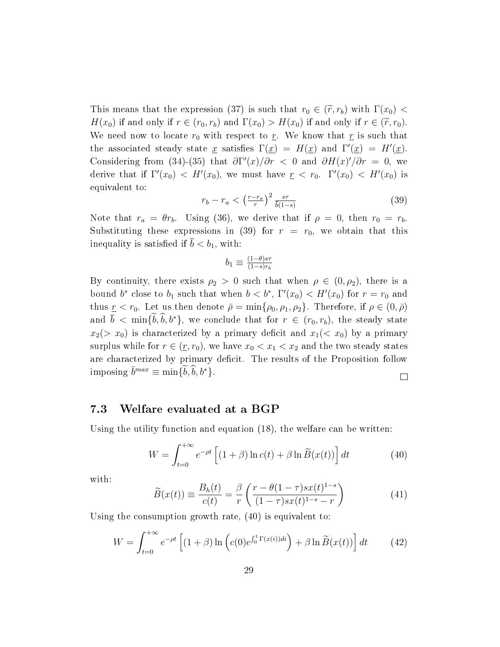This means that the expression (37) is such that  $r_0 \in (\widetilde{r}, r_b)$  with  $\Gamma(x_0)$  <  $H(x_0)$  if and only if  $r \in (r_0, r_b)$  and  $\Gamma(x_0) > H(x_0)$  if and only if  $r \in (\widetilde{r}, r_0)$ . We need now to locate  $r_0$  with respect to r. We know that r is such that the associated steady state x satisfies  $\Gamma(x) = H(x)$  and  $\Gamma'(x) = H'(x)$ . Considering from (34)-(35) that  $\frac{\partial \Gamma'(x)}{\partial r} < 0$  and  $\frac{\partial H(x)}{\partial r} = 0$ , we derive that if  $\Gamma'(x_0) < H'(x_0)$ , we must have  $r < r_0$ .  $\Gamma'(x_0) < H'(x_0)$  is equivalent to:

$$
r_b - r_a < \left(\frac{r - r_a}{r}\right)^2 \frac{s\tau}{\overline{b}(1 - s)}\tag{39}
$$

Note that  $r_a = \theta r_b$ . Using (36), we derive that if  $\rho = 0$ , then  $r_0 = r_b$ . Substituting these expressions in (39) for  $r = r_0$ , we obtain that this inequality is satisfied if  $\bar{b} < b_1$ , with:

$$
b_1\equiv \tfrac{(1-\theta)s\tau}{(1-s)r_b}
$$

By continuity, there exists  $\rho_2 > 0$  such that when  $\rho \in (0, \rho_2)$ , there is a bound  $b^*$  close to  $b_1$  such that when  $b < b^*$ ,  $\Gamma'(x_0) < H'(x_0)$  for  $r = r_0$  and thus  $r < r_0$ . Let us then denote  $\bar{\rho} = \min{\{\rho_0, \rho_1, \rho_2\}}$ . Therefore, if  $\rho \in (0, \bar{\rho})$ and  $\bar{b} < \min{\{\tilde{b}, \tilde{b}, b^*\}}$ , we conclude that for  $r \in (r_0, r_b)$ , the steady state  $x_2(> x_0)$  is characterized by a primary deficit and  $x_1(< x_0)$  by a primary surplus while for  $r \in (\underline{r}, r_0)$ , we have  $x_0 < x_1 < x_2$  and the two steady states are characterized by primary deficit. The results of the Proposition follow imposing  $\bar{b}^{max} \equiv \min{\{\tilde{b}, \hat{b}, b^*\}}$ .  $\Box$ 

#### 7.3 Welfare evaluated at a BGP

Using the utility function and equation (18), the welfare can be written:

$$
W = \int_{t=0}^{+\infty} e^{-\rho t} \left[ (1+\beta) \ln c(t) + \beta \ln \widetilde{B}(x(t)) \right] dt \tag{40}
$$

with:

$$
\widetilde{B}(x(t)) \equiv \frac{B_h(t)}{c(t)} = \frac{\beta}{r} \left( \frac{r - \theta(1 - \tau)sx(t)^{1 - s}}{(1 - \tau)sx(t)^{1 - s} - r} \right)
$$
\n(41)

Using the consumption growth rate, (40) is equivalent to:

$$
W = \int_{t=0}^{+\infty} e^{-\rho t} \left[ (1+\beta) \ln \left( c(0) e^{\int_0^t \Gamma(x(t)) dt} \right) + \beta \ln \widetilde{B}(x(t)) \right] dt \tag{42}
$$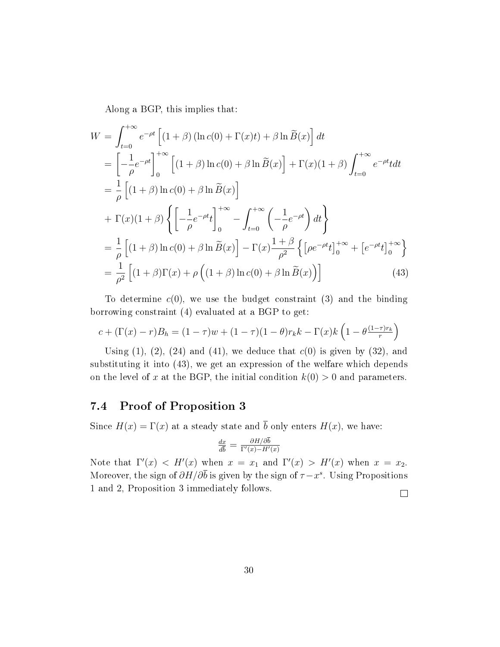Along a BGP, this implies that:

$$
W = \int_{t=0}^{+\infty} e^{-\rho t} \left[ (1+\beta) \left( \ln c(0) + \Gamma(x)t \right) + \beta \ln \widetilde{B}(x) \right] dt
$$
  
\n
$$
= \left[ -\frac{1}{\rho} e^{-\rho t} \right]_{0}^{+\infty} \left[ (1+\beta) \ln c(0) + \beta \ln \widetilde{B}(x) \right] + \Gamma(x)(1+\beta) \int_{t=0}^{+\infty} e^{-\rho t} t dt
$$
  
\n
$$
= \frac{1}{\rho} \left[ (1+\beta) \ln c(0) + \beta \ln \widetilde{B}(x) \right]
$$
  
\n
$$
+ \Gamma(x)(1+\beta) \left\{ \left[ -\frac{1}{\rho} e^{-\rho t} t \right]_{0}^{+\infty} - \int_{t=0}^{+\infty} \left( -\frac{1}{\rho} e^{-\rho t} \right) dt \right\}
$$
  
\n
$$
= \frac{1}{\rho} \left[ (1+\beta) \ln c(0) + \beta \ln \widetilde{B}(x) \right] - \Gamma(x) \frac{1+\beta}{\rho^2} \left\{ \left[ \rho e^{-\rho t} t \right]_{0}^{+\infty} + \left[ e^{-\rho t} t \right]_{0}^{+\infty} \right\}
$$
  
\n
$$
= \frac{1}{\rho^2} \left[ (1+\beta) \Gamma(x) + \rho \left( (1+\beta) \ln c(0) + \beta \ln \widetilde{B}(x) \right) \right]
$$
(43)

To determine  $c(0)$ , we use the budget constraint  $(3)$  and the binding borrowing constraint (4) evaluated at a BGP to get:

$$
c + (\Gamma(x) - r)B_h = (1 - \tau)w + (1 - \tau)(1 - \theta)r_kk - \Gamma(x)k\left(1 - \theta \frac{(1 - \tau)r_k}{r}\right)
$$

Using  $(1)$ ,  $(2)$ ,  $(24)$  and  $(41)$ , we deduce that  $c(0)$  is given by  $(32)$ , and substituting it into (43), we get an expression of the welfare which depends on the level of x at the BGP, the initial condition  $k(0) > 0$  and parameters.

### 7.4 Proof of Proposition 3

Since  $H(x) = \Gamma(x)$  at a steady state and  $\bar{b}$  only enters  $H(x)$ , we have:

$$
\frac{dx}{d\bar{b}} = \frac{\partial H/\partial \bar{b}}{\Gamma'(x) - H'(x)}
$$

Note that  $\Gamma'(x) < H'(x)$  when  $x = x_1$  and  $\Gamma'(x) > H'(x)$  when  $x = x_2$ . Moreover, the sign of  $\partial H/\partial \bar{b}$  is given by the sign of  $\tau - x^s$ . Using Propositions 1 and 2, Proposition 3 immediately follows.

 $\Box$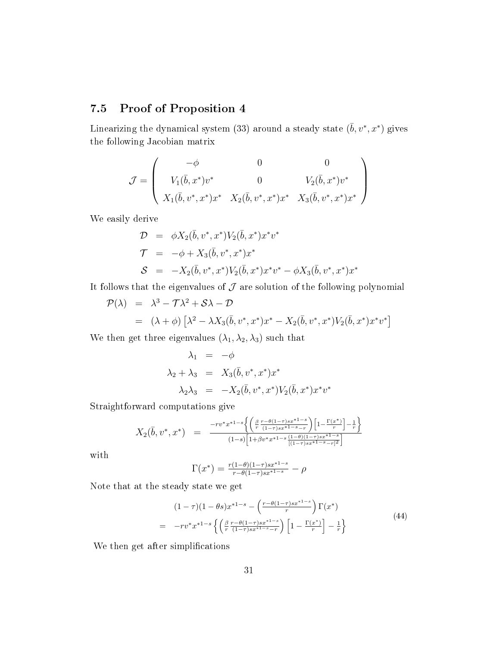### 7.5 Proof of Proposition 4

Linearizing the dynamical system (33) around a steady state  $(\bar{b}, v^*, x^*)$  gives the following Jacobian matrix

$$
\mathcal{J} = \begin{pmatrix}\n-\phi & 0 & 0 \\
V_1(\bar{b}, x^*)v^* & 0 & V_2(\bar{b}, x^*)v^* \\
X_1(\bar{b}, v^*, x^*)x^* & X_2(\bar{b}, v^*, x^*)x^* & X_3(\bar{b}, v^*, x^*)x^*\n\end{pmatrix}
$$

We easily derive

$$
\mathcal{D} = \phi X_2(\bar{b}, v^*, x^*) V_2(\bar{b}, x^*) x^* v^* \n\mathcal{T} = -\phi + X_3(\bar{b}, v^*, x^*) x^* \n\mathcal{S} = -X_2(\bar{b}, v^*, x^*) V_2(\bar{b}, x^*) x^* v^* - \phi X_3(\bar{b}, v^*, x^*) x^*
$$

It follows that the eigenvalues of  $J$  are solution of the following polynomial

$$
\mathcal{P}(\lambda) = \lambda^3 - \mathcal{T}\lambda^2 + \mathcal{S}\lambda - \mathcal{D}
$$
  
=  $(\lambda + \phi) [\lambda^2 - \lambda X_3(\bar{b}, v^*, x^*)x^* - X_2(\bar{b}, v^*, x^*)V_2(\bar{b}, x^*)x^*v^*]$ 

We then get three eigenvalues  $(\lambda_1,\lambda_2,\lambda_3)$  such that

$$
\lambda_1 = -\phi
$$
  
\n
$$
\lambda_2 + \lambda_3 = X_3(\bar{b}, v^*, x^*)x^*
$$
  
\n
$$
\lambda_2 \lambda_3 = -X_2(\bar{b}, v^*, x^*)V_2(\bar{b}, x^*)x^*v^*
$$

Straightforward computations give

$$
X_2(\bar{b}, v^*, x^*) = \frac{-rv^*x^{*1-s}\left\{\left(\frac{\beta}{r}\frac{r-\theta(1-\tau)sx^{*1-s}}{(1-\tau)sx^{*1-s}-r}\right)\left[1-\frac{\Gamma(x^*)}{r}\right]-\frac{1}{r}\right\}}{(1-s)\left[1+\beta v^*x^{*1-s}\frac{(1-\theta)(1-\tau)sx^{*1-s}}{[(1-\tau)sx^{*1-s}-r]^2}\right]}
$$

with

$$
\Gamma(x^*) = \frac{r(1-\theta)(1-\tau)sx^{*1-s}}{r-\theta(1-\tau)sx^{*1-s}} - \rho
$$

Note that at the steady state we get

$$
(1 - \tau)(1 - \theta s)x^{*1 - s} - \left(\frac{r - \theta(1 - \tau)sx^{*1 - s}}{r}\right)\Gamma(x^*)
$$
\n
$$
= -rv^*x^{*1 - s}\left\{\left(\frac{\beta}{r}\frac{r - \theta(1 - \tau)sx^{*1 - s}}{(1 - \tau)sx^{*1 - s} - r}\right)\left[1 - \frac{\Gamma(x^*)}{r}\right] - \frac{1}{r}\right\}
$$
\n(44)

We then get after simplifications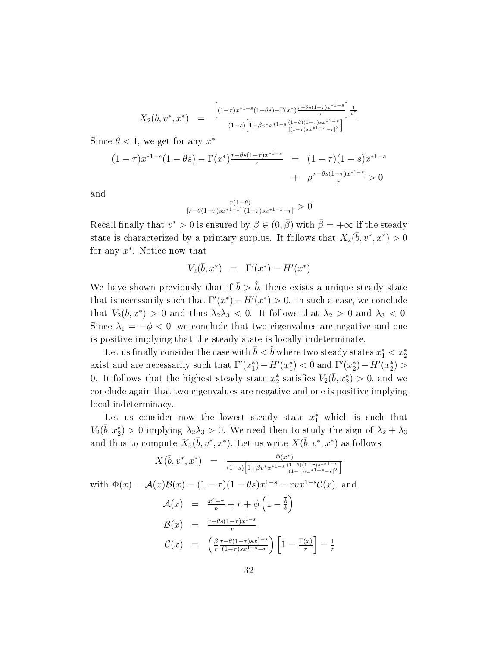$$
X_2(\bar{b}, v^*, x^*) = \frac{\left[ (1-\tau)x^{*1-s}(1-\theta s) - \Gamma(x^*) \frac{r-\theta s(1-\tau)x^{*1-s}}{r} \right] \frac{1}{v^*}}{(1-s)\left[ 1+\beta v^* x^{*1-s} \frac{(1-\theta)(1-\tau)s x^{*1-s}}{[(1-\tau)s x^{*1-s}-r]^2} \right]}
$$

Since  $\theta$  < 1, we get for any  $x^*$ 

$$
(1 - \tau)x^{*1-s}(1 - \theta s) - \Gamma(x^*) \frac{r - \theta s(1 - \tau)x^{*1-s}}{r} = (1 - \tau)(1 - s)x^{*1-s} + \rho \frac{r - \theta s(1 - \tau)x^{*1-s}}{r} > 0
$$

and

$$
\frac{r(1-\theta)}{[r-\theta(1-\tau)sx^{*1-s}][(1-\tau)sx^{*1-s}-r]} > 0
$$

Recall finally that  $v^* > 0$  is ensured by  $\beta \in (0, \bar{\beta})$  with  $\bar{\beta} = +\infty$  if the steady state is characterized by a primary surplus. It follows that  $X_2(\bar{b}, v^*, x^*) > 0$ for any  $x^*$ . Notice now that

$$
V_2(\bar{b}, x^*) = \Gamma'(x^*) - H'(x^*)
$$

We have shown previously that if  $\bar{b} > \hat{b}$ , there exists a unique steady state that is necessarily such that  $\Gamma'(x^*) - H'(x^*) > 0$ . In such a case, we conclude that  $V_2(\bar{b}, x^*) > 0$  and thus  $\lambda_2 \lambda_3 < 0$ . It follows that  $\lambda_2 > 0$  and  $\lambda_3 < 0$ . Since  $\lambda_1 = -\phi < 0$ , we conclude that two eigenvalues are negative and one is positive implying that the steady state is locally indeterminate.

Let us finally consider the case with  $\bar{b}<\hat{b}$  where two steady states  $x_1^* < x_2^*$ exist and are necessarily such that  $\Gamma'(x_1^*) - H'(x_1^*) < 0$  and  $\Gamma'(x_2^*) - H'(x_2^*) > 0$ 0. It follows that the highest steady state  $x_2^*$  satisfies  $V_2(\bar{b}, x_2^*) > 0$ , and we conclude again that two eigenvalues are negative and one is positive implying local indeterminacy.

Let us consider now the lowest steady state  $x_1^*$  which is such that  $V_2(\bar{b}, x_2^*) > 0$  implying  $\lambda_2 \lambda_3 > 0$ . We need then to study the sign of  $\lambda_2 + \lambda_3$ and thus to compute  $X_3(\bar{b}, v^*, x^*)$ . Let us write  $X(\bar{b}, v^*, x^*)$  as follows

$$
X(\bar{b}, v^*, x^*) = \frac{\Phi(x^*)}{(1-s)\left[1+\beta v^* x^{*1-s} \frac{(1-\theta)(1-\tau)s x^{*1-s}}{[(1-\tau)s x^{*1-s}-r]^2}\right]}
$$
  
with  $\Phi(x) = \mathcal{A}(x)\mathcal{B}(x) - (1-\tau)(1-\theta s)x^{1-s} - rvx^{1-s}\mathcal{C}(x)$ , and  

$$
\mathcal{A}(x) = \frac{x^s-\tau}{\bar{b}} + r + \phi\left(1-\frac{\bar{b}}{b}\right)
$$

$$
\mathcal{B}(x) = \frac{r-\theta s(1-\tau)x^{1-s}}{r}
$$

$$
\mathcal{C}(x) = \left(\frac{\beta}{r} \frac{r-\theta(1-\tau)s x^{1-s}}{(1-\tau)s x^{1-s}-r}\right)\left[1-\frac{\Gamma(x)}{r}\right] - \frac{1}{r}
$$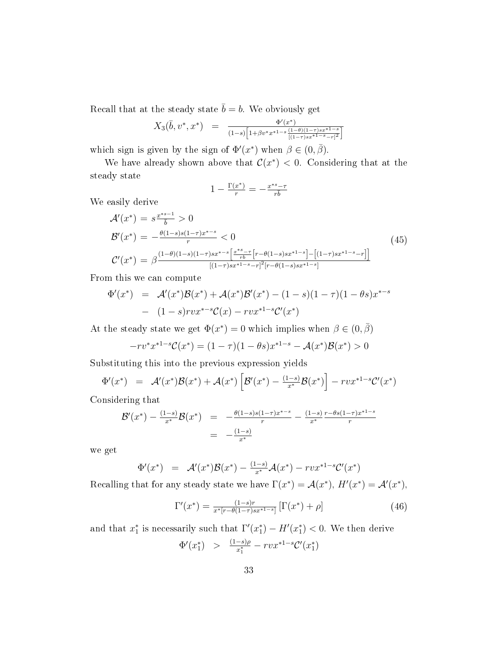Recall that at the steady state  $\bar{b} = b$ . We obviously get

$$
X_3(\bar{b}, v^*, x^*) = \frac{\Phi'(x^*)}{(1-s)\left[1+\beta v^* x^{*1-s} \frac{(1-\theta)(1-\tau)s x^{*1-s}}{[(1-\tau)s x^{*1-s}-\tau]^2}\right]}
$$

which sign is given by the sign of  $\Phi'(x^*)$  when  $\beta \in (0, \bar{\beta})$ .

We have already shown above that  $\mathcal{C}(x^*) < 0$ . Considering that at the steady state

$$
1-\tfrac{\Gamma(x^*)}{r}=-\tfrac{x^{*s}-\tau}{r\bar b}
$$

We easily derive

$$
\mathcal{A}'(x^*) = s^{\frac{x^{*s-1}}{b}} > 0
$$
\n
$$
\mathcal{B}'(x^*) = -\frac{\theta(1-s)s(1-\tau)x^{*-s}}{r} < 0
$$
\n
$$
\mathcal{C}'(x^*) = \beta^{\frac{(1-\theta)(1-s)(1-\tau)sx^{*-s}\left[\frac{x^{*s}-\tau}{r_b}\left[r-\theta(1-s)sx^{*1-s}\right] - \left[(1-\tau)sx^{*1-s}-r\right]\right]}{[(1-\tau)sx^{*1-s}-r]^2[r-\theta(1-s)sx^{*1-s}]}}
$$
\n
$$
(45)
$$

From this we can compute

$$
\Phi'(x^*) = \mathcal{A}'(x^*)\mathcal{B}(x^*) + \mathcal{A}(x^*)\mathcal{B}'(x^*) - (1-s)(1-\tau)(1-\theta s)x^{*-s} - (1-s)rvx^{*-s}\mathcal{C}(x) - rv^{*1-s}\mathcal{C}'(x^*)
$$

At the steady state we get  $\Phi(x^*) = 0$  which implies when  $\beta \in (0, \bar{\beta})$ 

$$
-rv^*x^{*1-s}\mathcal{C}(x^*) = (1-\tau)(1-\theta s)x^{*1-s} - \mathcal{A}(x^*)\mathcal{B}(x^*) > 0
$$

Substituting this into the previous expression yields

$$
\Phi'(x^*) = \mathcal{A}'(x^*)\mathcal{B}(x^*) + \mathcal{A}(x^*) \left[ \mathcal{B}'(x^*) - \frac{(1-s)}{x^*} \mathcal{B}(x^*) \right] - r v x^{*1-s} \mathcal{C}'(x^*)
$$

Considering that

$$
\mathcal{B}'(x^*) - \frac{(1-s)}{x^*} \mathcal{B}(x^*) = -\frac{\theta(1-s)s(1-\tau)x^{*-s}}{r} - \frac{(1-s)}{x^*} \frac{r - \theta s(1-\tau)x^{*1-s}}{r}
$$

$$
= -\frac{(1-s)}{x^*}
$$

we get

$$
\Phi'(x^*) = \mathcal{A}'(x^*) \mathcal{B}(x^*) - \frac{(1-s)}{x^*} \mathcal{A}(x^*) - r v x^{*1-s} \mathcal{C}'(x^*)
$$

Recalling that for any steady state we have  $\Gamma(x^*) = \mathcal{A}(x^*)$ ,  $H'(x^*) = \mathcal{A}'(x^*)$ ,

$$
\Gamma'(x^*) = \frac{(1-s)r}{x^*[r-\theta(1-\tau)sx^{*1-s}]} \left[ \Gamma(x^*) + \rho \right]
$$
\n(46)

and that  $x_1^*$  is necessarily such that  $\Gamma'(x_1^*) - H'(x_1^*) < 0$ . We then derive

$$
\Phi'(x_1^*) \quad > \quad \frac{(1-s)\rho}{x_1^*} - rvx^{*1-s}\mathcal{C}'(x_1^*)
$$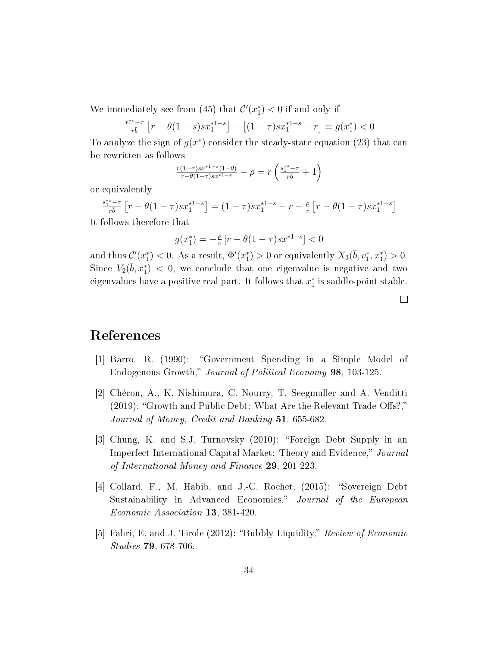We immediately see from (45) that  $\mathcal{C}'(x_1^*) < 0$  if and only if

$$
\frac{x_1^{*s} - \tau}{r\overline{b}} \left[ r - \theta(1 - s) s x_1^{*1 - s} \right] - \left[ (1 - \tau) s x_1^{*1 - s} - r \right] \equiv g(x_1^*) < 0
$$

To analyze the sign of  $g(x^*)$  consider the steady-state equation (23) that can be rewritten as follows

$$
\tfrac{r(1-\tau)sx^{*1-s}(1-\theta)}{r-\theta(1-\tau)sx^{*1-s}} - \rho = r\left(\tfrac{s_1^{*s}-\tau}{r\overline{b}}+1\right)
$$

or equivalently

$$
\frac{s_1^{**-\tau}}{r\overline{b}} \left[ r - \theta(1-\tau)s x_1^{*1-s} \right] = (1-\tau)s x_1^{*1-s} - r - \frac{\rho}{r} \left[ r - \theta(1-\tau)s x_1^{*1-s} \right]
$$

It follows therefore that

$$
g(x_1^*) = -\tfrac{\rho}{r} \left[ r - \theta (1-\tau) s x^{*1-s} \right] < 0
$$

and thus  $\mathcal{C}'(x_1^*) < 0$ . As a result,  $\Phi'(x_1^*) > 0$  or equivalently  $X_3(\bar{b}, v_1^*, x_1^*) > 0$ . Since  $V_2(\bar{b}, x_1^*)$  < 0, we conclude that one eigenvalue is negative and two eigenvalues have a positive real part. It follows that  $x_1^*$  is saddle-point stable.

 $\Box$ 

# References

- [1] Barro, R. (1990): "Government Spending in a Simple Model of Endogenous Growth," Journal of Political Economy 98, 103-125.
- [2] Chéron, A., K. Nishimura, C. Nourry, T. Seegmuller and A. Venditti  $(2019)$ : "Growth and Public Debt: What Are the Relevant Trade-Offs?," Journal of Money, Credit and Banking 51, 655-682.
- [3] Chung, K. and S.J. Turnovsky (2010): Foreign Debt Supply in an Imperfect International Capital Market: Theory and Evidence," Journal of International Money and Finance 29, 201-223.
- [4] Collard, F., M. Habib, and J.-C. Rochet. (2015): "Sovereign Debt Sustainability in Advanced Economies," Journal of the European Economic Association 13, 381-420.
- [5] Fahri, E. and J. Tirole (2012): "Bubbly Liquidity," Review of Economic Studies 79, 678-706.